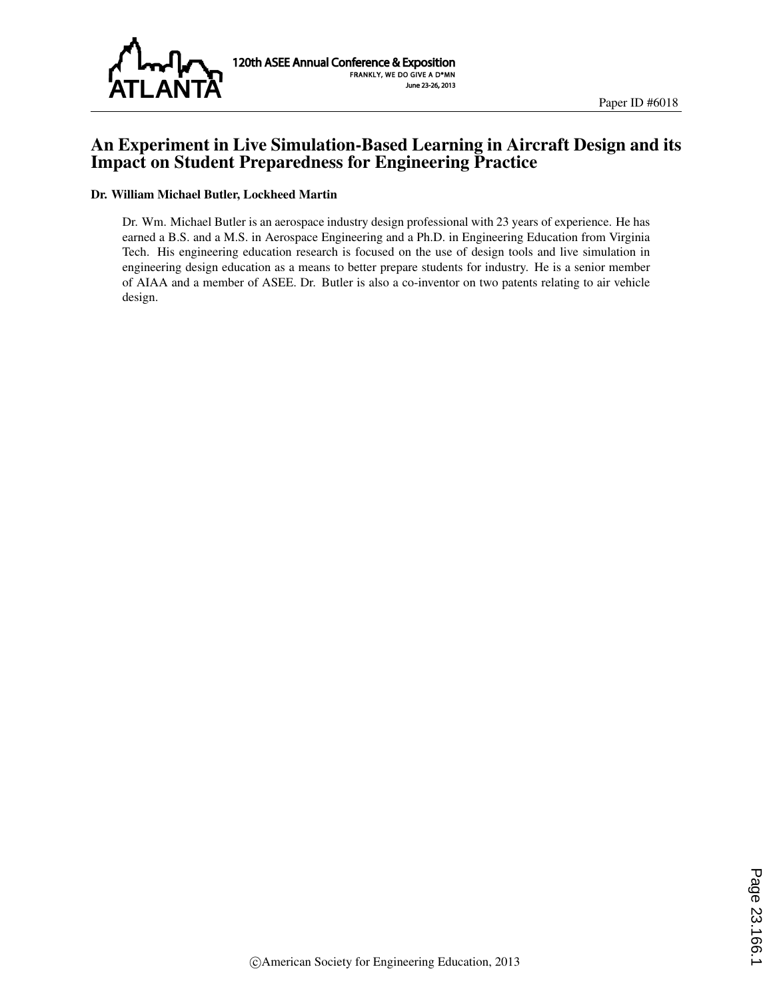

# An Experiment in Live Simulation-Based Learning in Aircraft Design and its Impact on Student Preparedness for Engineering Practice

#### Dr. William Michael Butler, Lockheed Martin

Dr. Wm. Michael Butler is an aerospace industry design professional with 23 years of experience. He has earned a B.S. and a M.S. in Aerospace Engineering and a Ph.D. in Engineering Education from Virginia Tech. His engineering education research is focused on the use of design tools and live simulation in engineering design education as a means to better prepare students for industry. He is a senior member of AIAA and a member of ASEE. Dr. Butler is also a co-inventor on two patents relating to air vehicle design.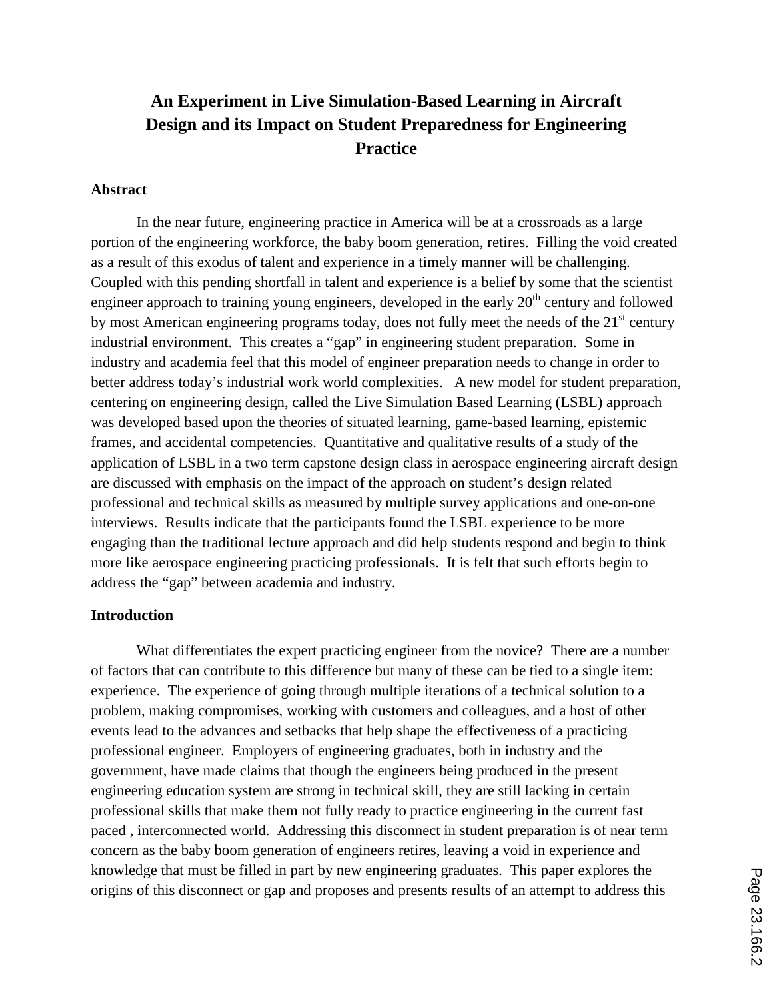# **An Experiment in Live Simulation-Based Learning in Aircraft Design and its Impact on Student Preparedness for Engineering Practice**

#### **Abstract**

In the near future, engineering practice in America will be at a crossroads as a large portion of the engineering workforce, the baby boom generation, retires. Filling the void created as a result of this exodus of talent and experience in a timely manner will be challenging. Coupled with this pending shortfall in talent and experience is a belief by some that the scientist engineer approach to training young engineers, developed in the early  $20<sup>th</sup>$  century and followed by most American engineering programs today, does not fully meet the needs of the  $21<sup>st</sup>$  century industrial environment. This creates a "gap" in engineering student preparation. Some in industry and academia feel that this model of engineer preparation needs to change in order to better address today's industrial work world complexities. A new model for student preparation, centering on engineering design, called the Live Simulation Based Learning (LSBL) approach was developed based upon the theories of situated learning, game-based learning, epistemic frames, and accidental competencies. Quantitative and qualitative results of a study of the application of LSBL in a two term capstone design class in aerospace engineering aircraft design are discussed with emphasis on the impact of the approach on student's design related professional and technical skills as measured by multiple survey applications and one-on-one interviews. Results indicate that the participants found the LSBL experience to be more engaging than the traditional lecture approach and did help students respond and begin to think more like aerospace engineering practicing professionals. It is felt that such efforts begin to address the "gap" between academia and industry.

#### **Introduction**

What differentiates the expert practicing engineer from the novice? There are a number of factors that can contribute to this difference but many of these can be tied to a single item: experience. The experience of going through multiple iterations of a technical solution to a problem, making compromises, working with customers and colleagues, and a host of other events lead to the advances and setbacks that help shape the effectiveness of a practicing professional engineer. Employers of engineering graduates, both in industry and the government, have made claims that though the engineers being produced in the present engineering education system are strong in technical skill, they are still lacking in certain professional skills that make them not fully ready to practice engineering in the current fast paced , interconnected world. Addressing this disconnect in student preparation is of near term concern as the baby boom generation of engineers retires, leaving a void in experience and knowledge that must be filled in part by new engineering graduates. This paper explores the origins of this disconnect or gap and proposes and presents results of an attempt to address this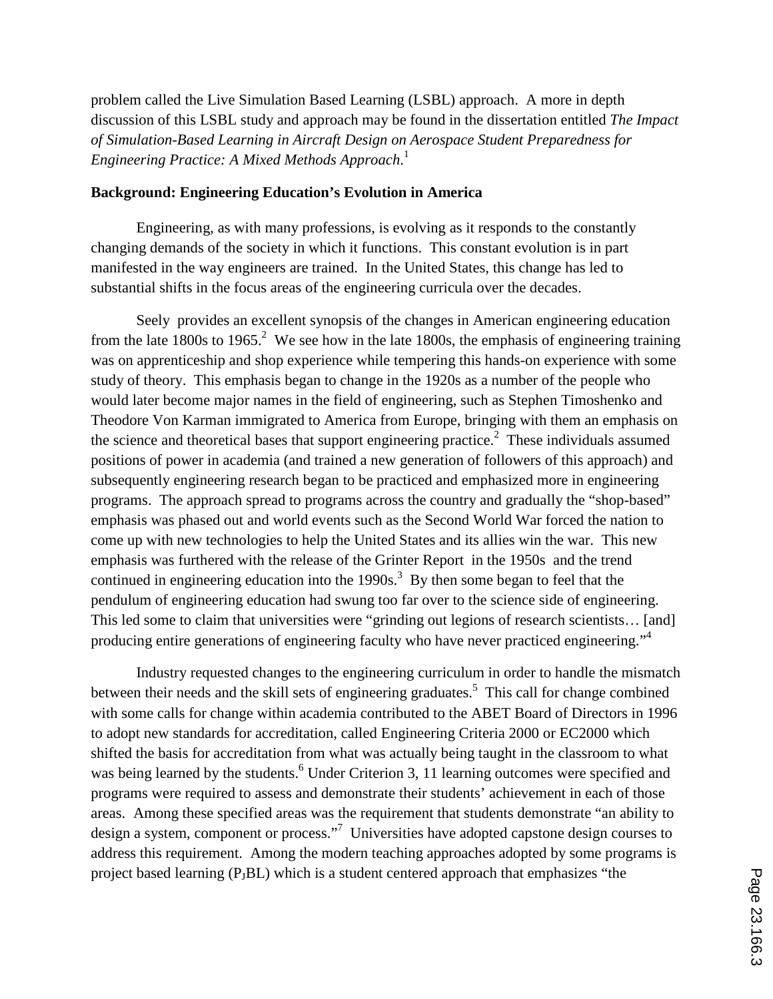problem called the Live Simulation Based Learning (LSBL) approach. A more in depth discussion of this LSBL study and approach may be found in the dissertation entitled *The Impact of Simulation-Based Learning in Aircraft Design on Aerospace Student Preparedness for Engineering Practice: A Mixed Methods Approach*. 1

#### **Background: Engineering Education's Evolution in America**

Engineering, as with many professions, is evolving as it responds to the constantly changing demands of the society in which it functions. This constant evolution is in part manifested in the way engineers are trained. In the United States, this change has led to substantial shifts in the focus areas of the engineering curricula over the decades.

Seely provides an excellent synopsis of the changes in American engineering education from the late 1800s to 1965.<sup>2</sup> We see how in the late 1800s, the emphasis of engineering training was on apprenticeship and shop experience while tempering this hands-on experience with some study of theory. This emphasis began to change in the 1920s as a number of the people who would later become major names in the field of engineering, such as Stephen Timoshenko and Theodore Von Karman immigrated to America from Europe, bringing with them an emphasis on the science and theoretical bases that support engineering practice.<sup>2</sup> These individuals assumed positions of power in academia (and trained a new generation of followers of this approach) and subsequently engineering research began to be practiced and emphasized more in engineering programs. The approach spread to programs across the country and gradually the "shop-based" emphasis was phased out and world events such as the Second World War forced the nation to come up with new technologies to help the United States and its allies win the war. This new emphasis was furthered with the release of the Grinter Report in the 1950s and the trend continued in engineering education into the  $1990s$ .<sup>3</sup> By then some began to feel that the pendulum of engineering education had swung too far over to the science side of engineering. This led some to claim that universities were "grinding out legions of research scientists… [and] producing entire generations of engineering faculty who have never practiced engineering."<sup>4</sup>

Industry requested changes to the engineering curriculum in order to handle the mismatch between their needs and the skill sets of engineering graduates.<sup>5</sup> This call for change combined with some calls for change within academia contributed to the ABET Board of Directors in 1996 to adopt new standards for accreditation, called Engineering Criteria 2000 or EC2000 which shifted the basis for accreditation from what was actually being taught in the classroom to what was being learned by the students.<sup>6</sup> Under Criterion 3, 11 learning outcomes were specified and programs were required to assess and demonstrate their students' achievement in each of those areas. Among these specified areas was the requirement that students demonstrate "an ability to design a system, component or process."<sup>7</sup> Universities have adopted capstone design courses to address this requirement. Among the modern teaching approaches adopted by some programs is project based learning (PJBL) which is a student centered approach that emphasizes "the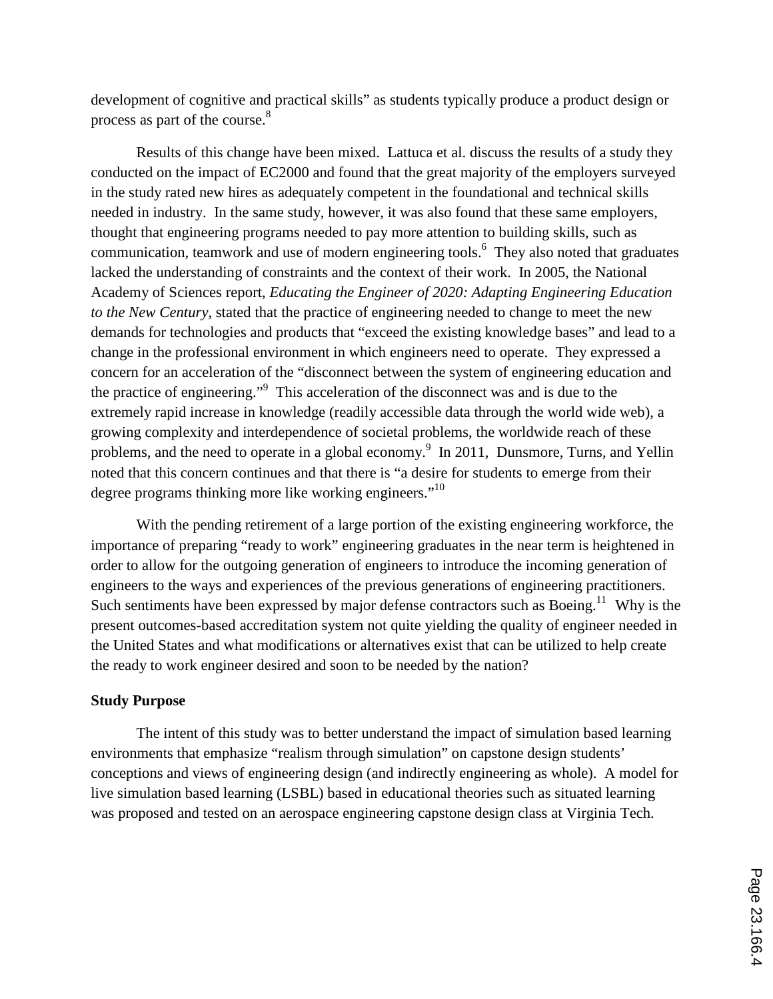development of cognitive and practical skills" as students typically produce a product design or process as part of the course.<sup>8</sup>

Results of this change have been mixed. Lattuca et al. discuss the results of a study they conducted on the impact of EC2000 and found that the great majority of the employers surveyed in the study rated new hires as adequately competent in the foundational and technical skills needed in industry. In the same study, however, it was also found that these same employers, thought that engineering programs needed to pay more attention to building skills, such as communication, teamwork and use of modern engineering tools.<sup>6</sup> They also noted that graduates lacked the understanding of constraints and the context of their work. In 2005, the National Academy of Sciences report, *Educating the Engineer of 2020: Adapting Engineering Education to the New Century,* stated that the practice of engineering needed to change to meet the new demands for technologies and products that "exceed the existing knowledge bases" and lead to a change in the professional environment in which engineers need to operate. They expressed a concern for an acceleration of the "disconnect between the system of engineering education and the practice of engineering." 9 This acceleration of the disconnect was and is due to the extremely rapid increase in knowledge (readily accessible data through the world wide web), a growing complexity and interdependence of societal problems, the worldwide reach of these problems, and the need to operate in a global economy.<sup>9</sup> In 2011, Dunsmore, Turns, and Yellin noted that this concern continues and that there is "a desire for students to emerge from their degree programs thinking more like working engineers."<sup>10</sup>

With the pending retirement of a large portion of the existing engineering workforce, the importance of preparing "ready to work" engineering graduates in the near term is heightened in order to allow for the outgoing generation of engineers to introduce the incoming generation of engineers to the ways and experiences of the previous generations of engineering practitioners. Such sentiments have been expressed by major defense contractors such as Boeing.<sup>11</sup> Why is the present outcomes-based accreditation system not quite yielding the quality of engineer needed in the United States and what modifications or alternatives exist that can be utilized to help create the ready to work engineer desired and soon to be needed by the nation?

### **Study Purpose**

The intent of this study was to better understand the impact of simulation based learning environments that emphasize "realism through simulation" on capstone design students' conceptions and views of engineering design (and indirectly engineering as whole). A model for live simulation based learning (LSBL) based in educational theories such as situated learning was proposed and tested on an aerospace engineering capstone design class at Virginia Tech.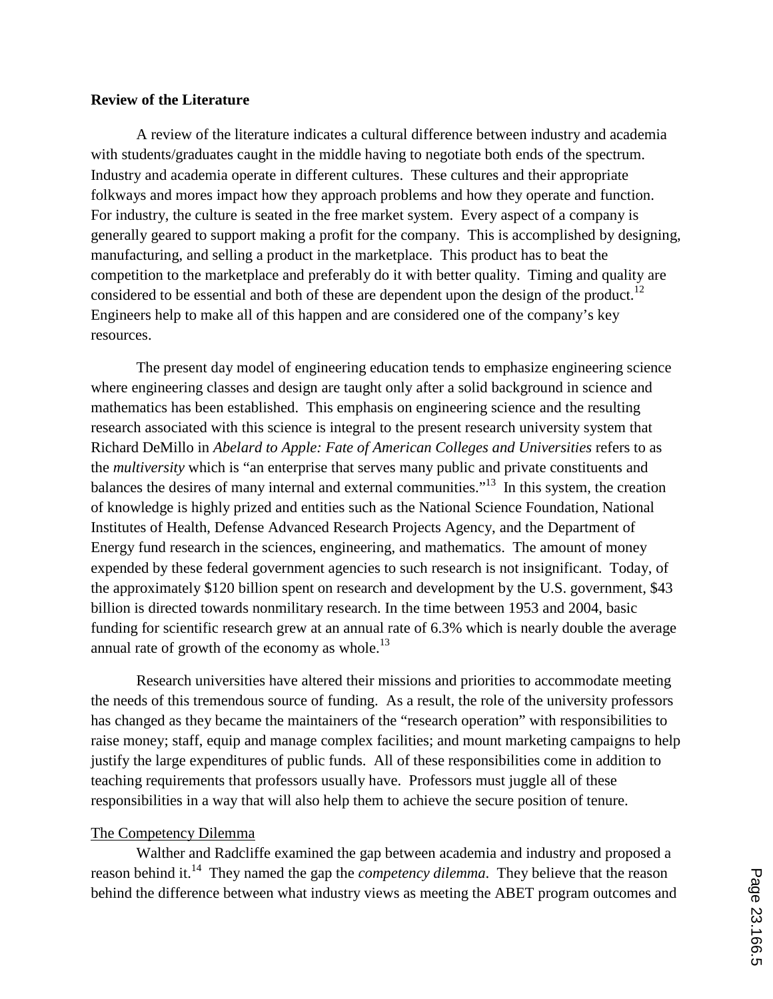### **Review of the Literature**

A review of the literature indicates a cultural difference between industry and academia with students/graduates caught in the middle having to negotiate both ends of the spectrum. Industry and academia operate in different cultures. These cultures and their appropriate folkways and mores impact how they approach problems and how they operate and function. For industry, the culture is seated in the free market system. Every aspect of a company is generally geared to support making a profit for the company. This is accomplished by designing, manufacturing, and selling a product in the marketplace. This product has to beat the competition to the marketplace and preferably do it with better quality. Timing and quality are considered to be essential and both of these are dependent upon the design of the product.<sup>12</sup> Engineers help to make all of this happen and are considered one of the company's key resources.

The present day model of engineering education tends to emphasize engineering science where engineering classes and design are taught only after a solid background in science and mathematics has been established. This emphasis on engineering science and the resulting research associated with this science is integral to the present research university system that Richard DeMillo in *Abelard to Apple: Fate of American Colleges and Universities* refers to as the *multiversity* which is "an enterprise that serves many public and private constituents and balances the desires of many internal and external communities."<sup>13</sup> In this system, the creation of knowledge is highly prized and entities such as the National Science Foundation, National Institutes of Health, Defense Advanced Research Projects Agency, and the Department of Energy fund research in the sciences, engineering, and mathematics. The amount of money expended by these federal government agencies to such research is not insignificant. Today, of the approximately \$120 billion spent on research and development by the U.S. government, \$43 billion is directed towards nonmilitary research. In the time between 1953 and 2004, basic funding for scientific research grew at an annual rate of 6.3% which is nearly double the average annual rate of growth of the economy as whole. $^{13}$ 

Research universities have altered their missions and priorities to accommodate meeting the needs of this tremendous source of funding. As a result, the role of the university professors has changed as they became the maintainers of the "research operation" with responsibilities to raise money; staff, equip and manage complex facilities; and mount marketing campaigns to help justify the large expenditures of public funds. All of these responsibilities come in addition to teaching requirements that professors usually have. Professors must juggle all of these responsibilities in a way that will also help them to achieve the secure position of tenure.

### The Competency Dilemma

Walther and Radcliffe examined the gap between academia and industry and proposed a reason behind it.14 They named the gap the *competency dilemma*. They believe that the reason behind the difference between what industry views as meeting the ABET program outcomes and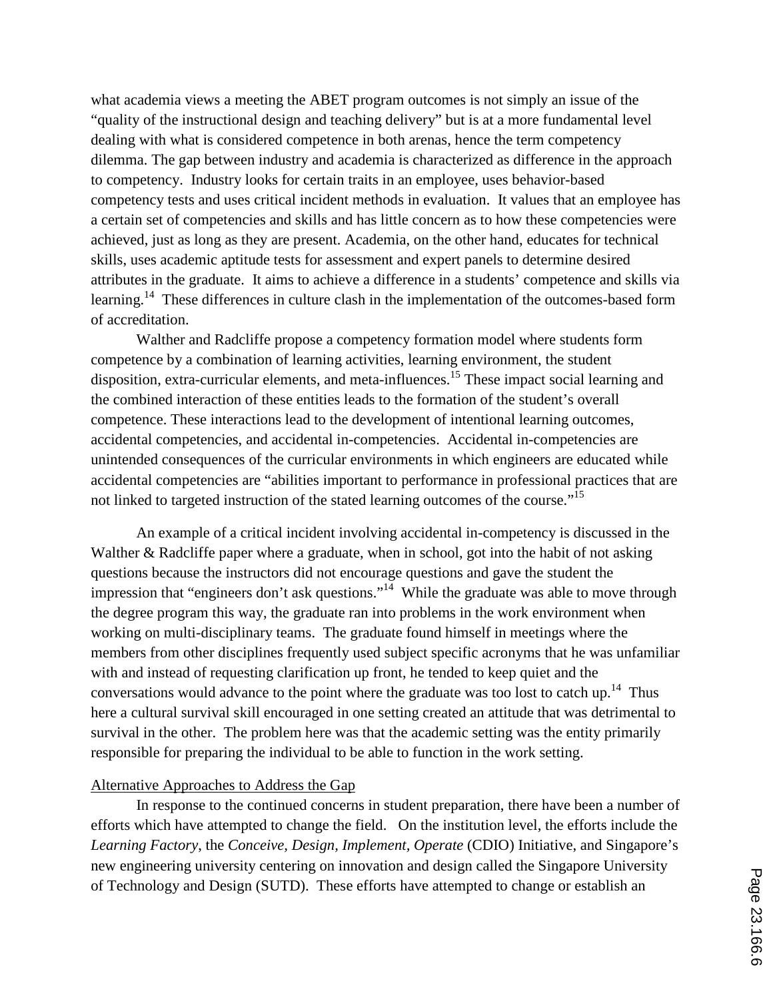what academia views a meeting the ABET program outcomes is not simply an issue of the "quality of the instructional design and teaching delivery" but is at a more fundamental level dealing with what is considered competence in both arenas, hence the term competency dilemma. The gap between industry and academia is characterized as difference in the approach to competency. Industry looks for certain traits in an employee, uses behavior-based competency tests and uses critical incident methods in evaluation. It values that an employee has a certain set of competencies and skills and has little concern as to how these competencies were achieved, just as long as they are present. Academia, on the other hand, educates for technical skills, uses academic aptitude tests for assessment and expert panels to determine desired attributes in the graduate. It aims to achieve a difference in a students' competence and skills via learning.<sup>14</sup> These differences in culture clash in the implementation of the outcomes-based form of accreditation.

Walther and Radcliffe propose a competency formation model where students form competence by a combination of learning activities, learning environment, the student disposition, extra-curricular elements, and meta-influences.<sup>15</sup> These impact social learning and the combined interaction of these entities leads to the formation of the student's overall competence. These interactions lead to the development of intentional learning outcomes, accidental competencies, and accidental in-competencies. Accidental in-competencies are unintended consequences of the curricular environments in which engineers are educated while accidental competencies are "abilities important to performance in professional practices that are not linked to targeted instruction of the stated learning outcomes of the course."<sup>15</sup>

An example of a critical incident involving accidental in-competency is discussed in the Walther & Radcliffe paper where a graduate, when in school, got into the habit of not asking questions because the instructors did not encourage questions and gave the student the impression that "engineers don't ask questions."<sup>14</sup> While the graduate was able to move through the degree program this way, the graduate ran into problems in the work environment when working on multi-disciplinary teams. The graduate found himself in meetings where the members from other disciplines frequently used subject specific acronyms that he was unfamiliar with and instead of requesting clarification up front, he tended to keep quiet and the conversations would advance to the point where the graduate was too lost to catch up.<sup>14</sup> Thus here a cultural survival skill encouraged in one setting created an attitude that was detrimental to survival in the other. The problem here was that the academic setting was the entity primarily responsible for preparing the individual to be able to function in the work setting.

#### Alternative Approaches to Address the Gap

In response to the continued concerns in student preparation, there have been a number of efforts which have attempted to change the field. On the institution level, the efforts include the *Learning Factory*, the *Conceive, Design, Implement, Operate* (CDIO) Initiative, and Singapore's new engineering university centering on innovation and design called the Singapore University of Technology and Design (SUTD). These efforts have attempted to change or establish an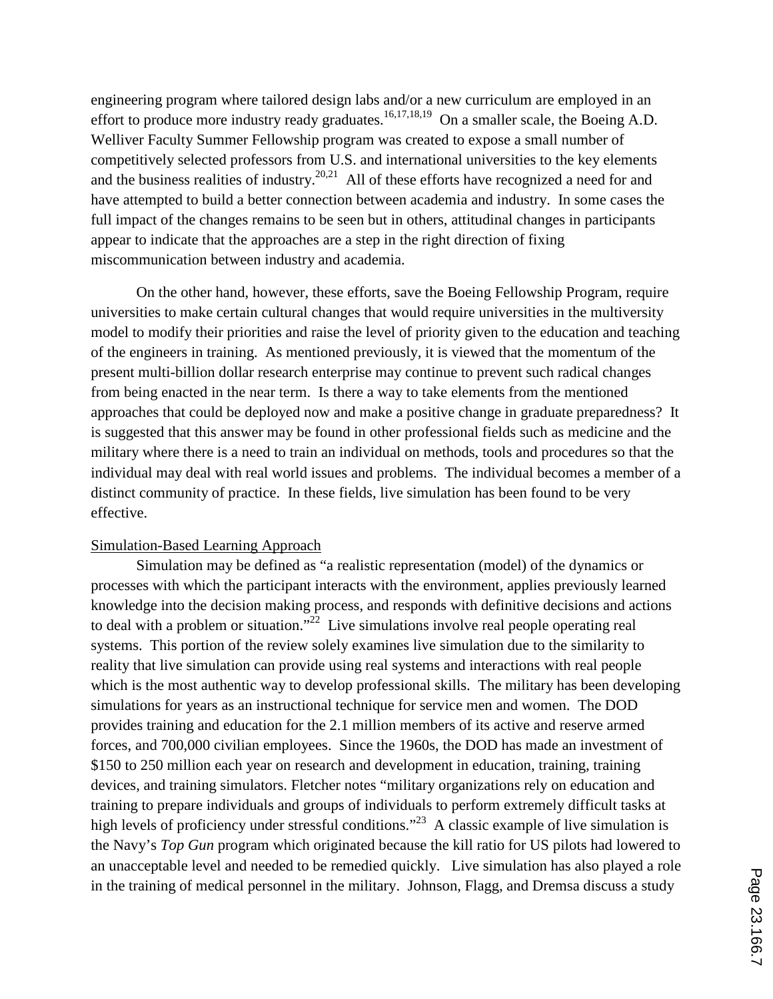engineering program where tailored design labs and/or a new curriculum are employed in an effort to produce more industry ready graduates.<sup>16,17,18,19</sup> On a smaller scale, the Boeing A.D. Welliver Faculty Summer Fellowship program was created to expose a small number of competitively selected professors from U.S. and international universities to the key elements and the business realities of industry.<sup>20,21</sup> All of these efforts have recognized a need for and have attempted to build a better connection between academia and industry. In some cases the full impact of the changes remains to be seen but in others, attitudinal changes in participants appear to indicate that the approaches are a step in the right direction of fixing miscommunication between industry and academia.

On the other hand, however, these efforts, save the Boeing Fellowship Program, require universities to make certain cultural changes that would require universities in the multiversity model to modify their priorities and raise the level of priority given to the education and teaching of the engineers in training. As mentioned previously, it is viewed that the momentum of the present multi-billion dollar research enterprise may continue to prevent such radical changes from being enacted in the near term. Is there a way to take elements from the mentioned approaches that could be deployed now and make a positive change in graduate preparedness? It is suggested that this answer may be found in other professional fields such as medicine and the military where there is a need to train an individual on methods, tools and procedures so that the individual may deal with real world issues and problems. The individual becomes a member of a distinct community of practice. In these fields, live simulation has been found to be very effective.

#### Simulation-Based Learning Approach

Simulation may be defined as "a realistic representation (model) of the dynamics or processes with which the participant interacts with the environment, applies previously learned knowledge into the decision making process, and responds with definitive decisions and actions to deal with a problem or situation."<sup>22</sup> Live simulations involve real people operating real systems. This portion of the review solely examines live simulation due to the similarity to reality that live simulation can provide using real systems and interactions with real people which is the most authentic way to develop professional skills. The military has been developing simulations for years as an instructional technique for service men and women. The DOD provides training and education for the 2.1 million members of its active and reserve armed forces, and 700,000 civilian employees. Since the 1960s, the DOD has made an investment of \$150 to 250 million each year on research and development in education, training, training devices, and training simulators. Fletcher notes "military organizations rely on education and training to prepare individuals and groups of individuals to perform extremely difficult tasks at high levels of proficiency under stressful conditions."<sup>23</sup> A classic example of live simulation is the Navy's *Top Gun* program which originated because the kill ratio for US pilots had lowered to an unacceptable level and needed to be remedied quickly. Live simulation has also played a role in the training of medical personnel in the military. Johnson, Flagg, and Dremsa discuss a study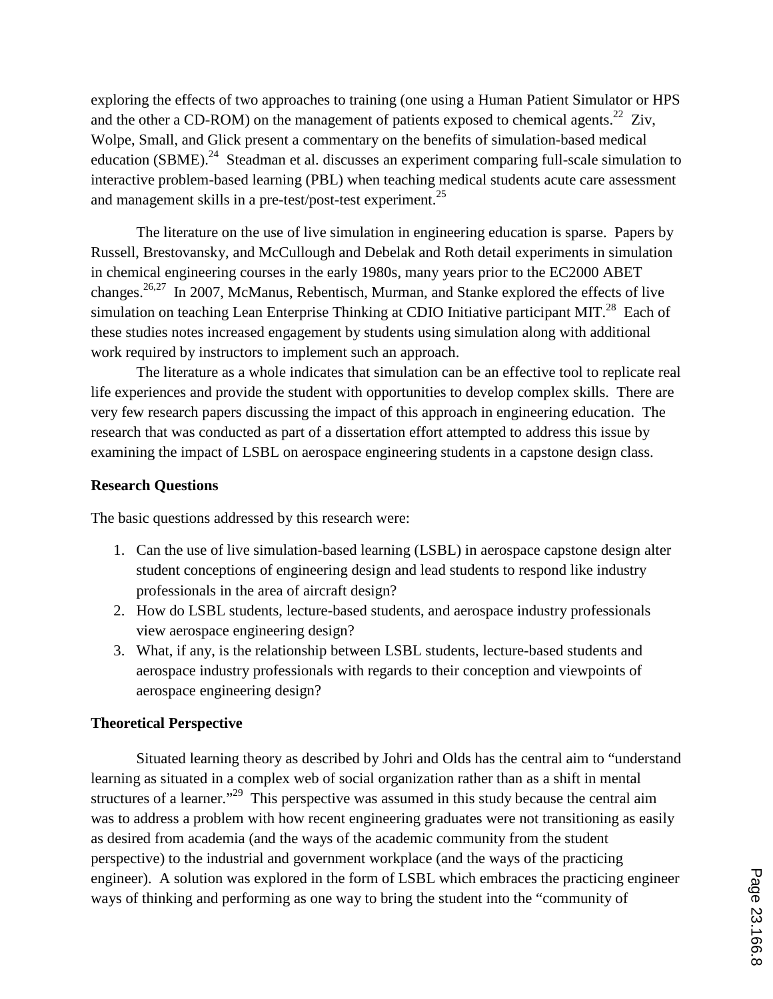exploring the effects of two approaches to training (one using a Human Patient Simulator or HPS and the other a CD-ROM) on the management of patients exposed to chemical agents.<sup>22</sup> Ziv, Wolpe, Small, and Glick present a commentary on the benefits of simulation-based medical education (SBME).<sup>24</sup> Steadman et al. discusses an experiment comparing full-scale simulation to interactive problem-based learning (PBL) when teaching medical students acute care assessment and management skills in a pre-test/post-test experiment.<sup>25</sup>

The literature on the use of live simulation in engineering education is sparse. Papers by Russell, Brestovansky, and McCullough and Debelak and Roth detail experiments in simulation in chemical engineering courses in the early 1980s, many years prior to the EC2000 ABET changes.<sup>26,27</sup> In 2007, McManus, Rebentisch, Murman, and Stanke explored the effects of live simulation on teaching Lean Enterprise Thinking at CDIO Initiative participant MIT.<sup>28</sup> Each of these studies notes increased engagement by students using simulation along with additional work required by instructors to implement such an approach.

The literature as a whole indicates that simulation can be an effective tool to replicate real life experiences and provide the student with opportunities to develop complex skills. There are very few research papers discussing the impact of this approach in engineering education. The research that was conducted as part of a dissertation effort attempted to address this issue by examining the impact of LSBL on aerospace engineering students in a capstone design class.

### **Research Questions**

The basic questions addressed by this research were:

- 1. Can the use of live simulation-based learning (LSBL) in aerospace capstone design alter student conceptions of engineering design and lead students to respond like industry professionals in the area of aircraft design?
- 2. How do LSBL students, lecture-based students, and aerospace industry professionals view aerospace engineering design?
- 3. What, if any, is the relationship between LSBL students, lecture-based students and aerospace industry professionals with regards to their conception and viewpoints of aerospace engineering design?

### **Theoretical Perspective**

Situated learning theory as described by Johri and Olds has the central aim to "understand learning as situated in a complex web of social organization rather than as a shift in mental structures of a learner."<sup>29</sup> This perspective was assumed in this study because the central aim was to address a problem with how recent engineering graduates were not transitioning as easily as desired from academia (and the ways of the academic community from the student perspective) to the industrial and government workplace (and the ways of the practicing engineer). A solution was explored in the form of LSBL which embraces the practicing engineer ways of thinking and performing as one way to bring the student into the "community of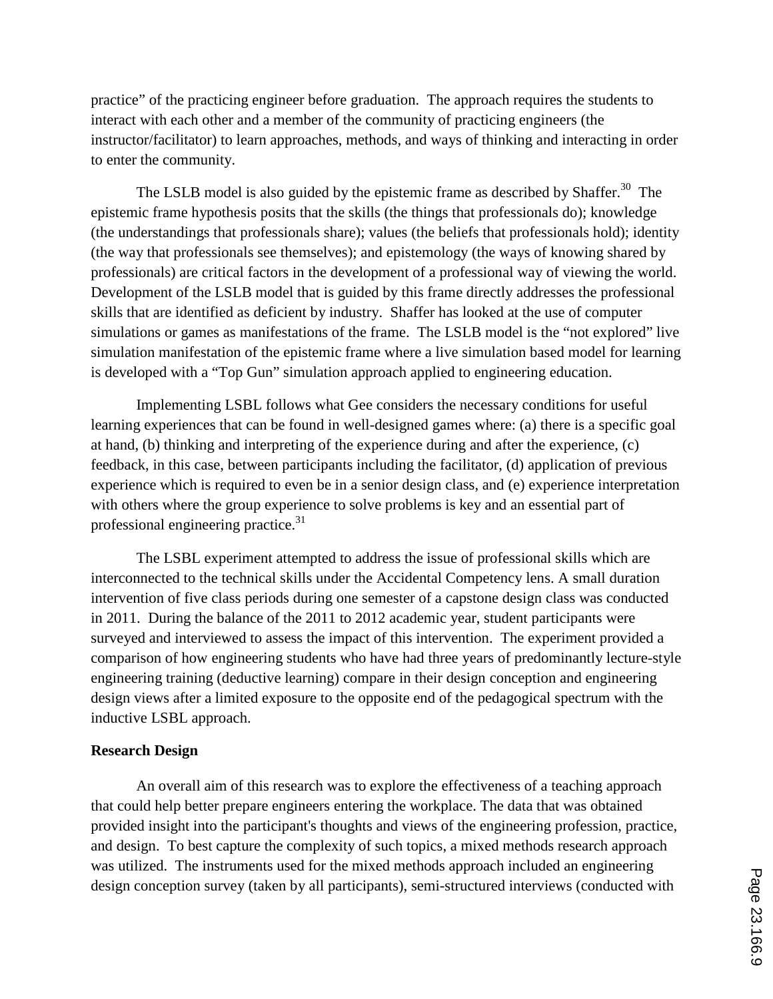practice" of the practicing engineer before graduation. The approach requires the students to interact with each other and a member of the community of practicing engineers (the instructor/facilitator) to learn approaches, methods, and ways of thinking and interacting in order to enter the community.

The LSLB model is also guided by the epistemic frame as described by Shaffer.<sup>30</sup> The epistemic frame hypothesis posits that the skills (the things that professionals do); knowledge (the understandings that professionals share); values (the beliefs that professionals hold); identity (the way that professionals see themselves); and epistemology (the ways of knowing shared by professionals) are critical factors in the development of a professional way of viewing the world. Development of the LSLB model that is guided by this frame directly addresses the professional skills that are identified as deficient by industry. Shaffer has looked at the use of computer simulations or games as manifestations of the frame. The LSLB model is the "not explored" live simulation manifestation of the epistemic frame where a live simulation based model for learning is developed with a "Top Gun" simulation approach applied to engineering education.

Implementing LSBL follows what Gee considers the necessary conditions for useful learning experiences that can be found in well-designed games where: (a) there is a specific goal at hand, (b) thinking and interpreting of the experience during and after the experience, (c) feedback, in this case, between participants including the facilitator, (d) application of previous experience which is required to even be in a senior design class, and (e) experience interpretation with others where the group experience to solve problems is key and an essential part of professional engineering practice.<sup>31</sup>

The LSBL experiment attempted to address the issue of professional skills which are interconnected to the technical skills under the Accidental Competency lens. A small duration intervention of five class periods during one semester of a capstone design class was conducted in 2011. During the balance of the 2011 to 2012 academic year, student participants were surveyed and interviewed to assess the impact of this intervention. The experiment provided a comparison of how engineering students who have had three years of predominantly lecture-style engineering training (deductive learning) compare in their design conception and engineering design views after a limited exposure to the opposite end of the pedagogical spectrum with the inductive LSBL approach.

### **Research Design**

An overall aim of this research was to explore the effectiveness of a teaching approach that could help better prepare engineers entering the workplace. The data that was obtained provided insight into the participant's thoughts and views of the engineering profession, practice, and design. To best capture the complexity of such topics, a mixed methods research approach was utilized. The instruments used for the mixed methods approach included an engineering design conception survey (taken by all participants), semi-structured interviews (conducted with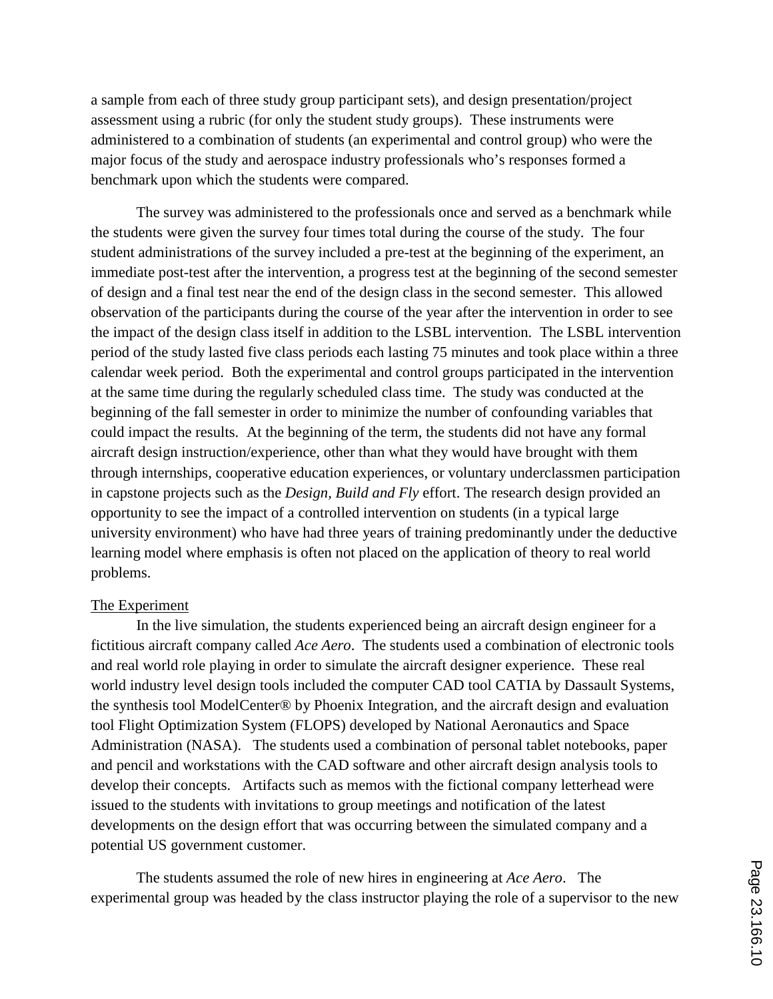a sample from each of three study group participant sets), and design presentation/project assessment using a rubric (for only the student study groups). These instruments were administered to a combination of students (an experimental and control group) who were the major focus of the study and aerospace industry professionals who's responses formed a benchmark upon which the students were compared.

The survey was administered to the professionals once and served as a benchmark while the students were given the survey four times total during the course of the study. The four student administrations of the survey included a pre-test at the beginning of the experiment, an immediate post-test after the intervention, a progress test at the beginning of the second semester of design and a final test near the end of the design class in the second semester. This allowed observation of the participants during the course of the year after the intervention in order to see the impact of the design class itself in addition to the LSBL intervention. The LSBL intervention period of the study lasted five class periods each lasting 75 minutes and took place within a three calendar week period. Both the experimental and control groups participated in the intervention at the same time during the regularly scheduled class time. The study was conducted at the beginning of the fall semester in order to minimize the number of confounding variables that could impact the results. At the beginning of the term, the students did not have any formal aircraft design instruction/experience, other than what they would have brought with them through internships, cooperative education experiences, or voluntary underclassmen participation in capstone projects such as the *Design, Build and Fly* effort. The research design provided an opportunity to see the impact of a controlled intervention on students (in a typical large university environment) who have had three years of training predominantly under the deductive learning model where emphasis is often not placed on the application of theory to real world problems.

#### The Experiment

In the live simulation, the students experienced being an aircraft design engineer for a fictitious aircraft company called *Ace Aero*. The students used a combination of electronic tools and real world role playing in order to simulate the aircraft designer experience. These real world industry level design tools included the computer CAD tool CATIA by Dassault Systems, the synthesis tool ModelCenter® by Phoenix Integration, and the aircraft design and evaluation tool Flight Optimization System (FLOPS) developed by National Aeronautics and Space Administration (NASA). The students used a combination of personal tablet notebooks, paper and pencil and workstations with the CAD software and other aircraft design analysis tools to develop their concepts. Artifacts such as memos with the fictional company letterhead were issued to the students with invitations to group meetings and notification of the latest developments on the design effort that was occurring between the simulated company and a potential US government customer.

The students assumed the role of new hires in engineering at *Ace Aero*. The experimental group was headed by the class instructor playing the role of a supervisor to the new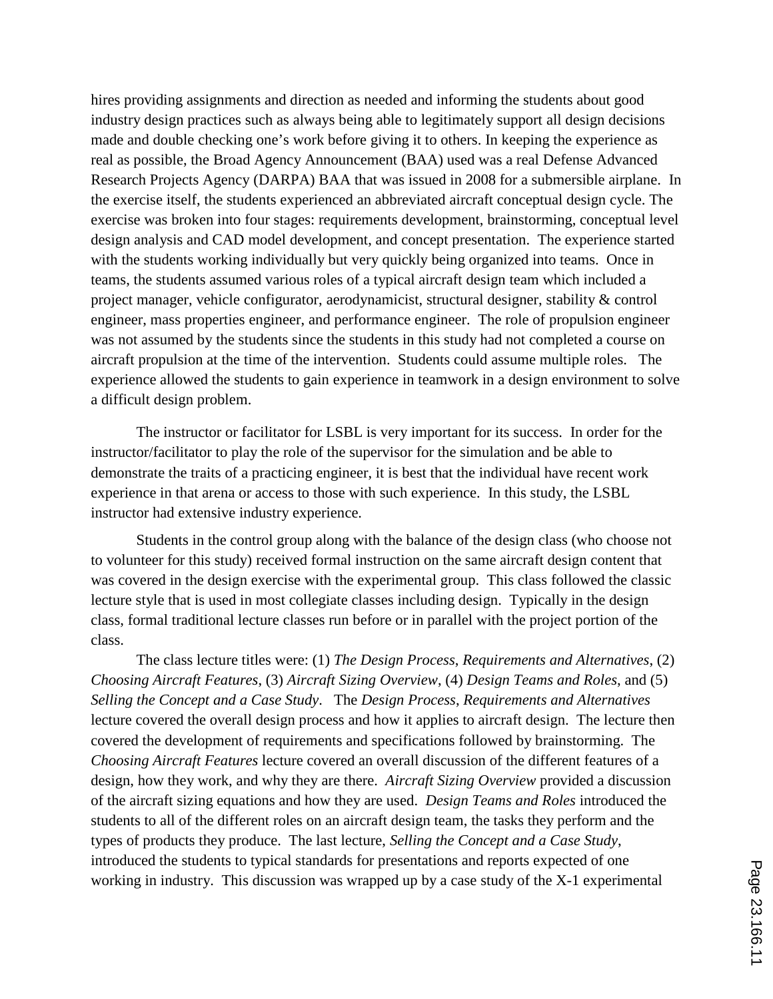hires providing assignments and direction as needed and informing the students about good industry design practices such as always being able to legitimately support all design decisions made and double checking one's work before giving it to others. In keeping the experience as real as possible, the Broad Agency Announcement (BAA) used was a real Defense Advanced Research Projects Agency (DARPA) BAA that was issued in 2008 for a submersible airplane. In the exercise itself, the students experienced an abbreviated aircraft conceptual design cycle. The exercise was broken into four stages: requirements development, brainstorming, conceptual level design analysis and CAD model development, and concept presentation. The experience started with the students working individually but very quickly being organized into teams. Once in teams, the students assumed various roles of a typical aircraft design team which included a project manager, vehicle configurator, aerodynamicist, structural designer, stability & control engineer, mass properties engineer, and performance engineer. The role of propulsion engineer was not assumed by the students since the students in this study had not completed a course on aircraft propulsion at the time of the intervention. Students could assume multiple roles. The experience allowed the students to gain experience in teamwork in a design environment to solve a difficult design problem.

The instructor or facilitator for LSBL is very important for its success. In order for the instructor/facilitator to play the role of the supervisor for the simulation and be able to demonstrate the traits of a practicing engineer, it is best that the individual have recent work experience in that arena or access to those with such experience. In this study, the LSBL instructor had extensive industry experience.

Students in the control group along with the balance of the design class (who choose not to volunteer for this study) received formal instruction on the same aircraft design content that was covered in the design exercise with the experimental group. This class followed the classic lecture style that is used in most collegiate classes including design. Typically in the design class, formal traditional lecture classes run before or in parallel with the project portion of the class.

The class lecture titles were: (1) *The Design Process*, *Requirements and Alternatives*, (2) *Choosing Aircraft Features*, (3) *Aircraft Sizing Overview*, (4) *Design Teams and Roles*, and (5) *Selling the Concept and a Case Study*. The *Design Process*, *Requirements and Alternatives* lecture covered the overall design process and how it applies to aircraft design. The lecture then covered the development of requirements and specifications followed by brainstorming. The *Choosing Aircraft Features* lecture covered an overall discussion of the different features of a design, how they work, and why they are there. *Aircraft Sizing Overview* provided a discussion of the aircraft sizing equations and how they are used. *Design Teams and Roles* introduced the students to all of the different roles on an aircraft design team, the tasks they perform and the types of products they produce. The last lecture, *Selling the Concept and a Case Study*, introduced the students to typical standards for presentations and reports expected of one working in industry. This discussion was wrapped up by a case study of the X-1 experimental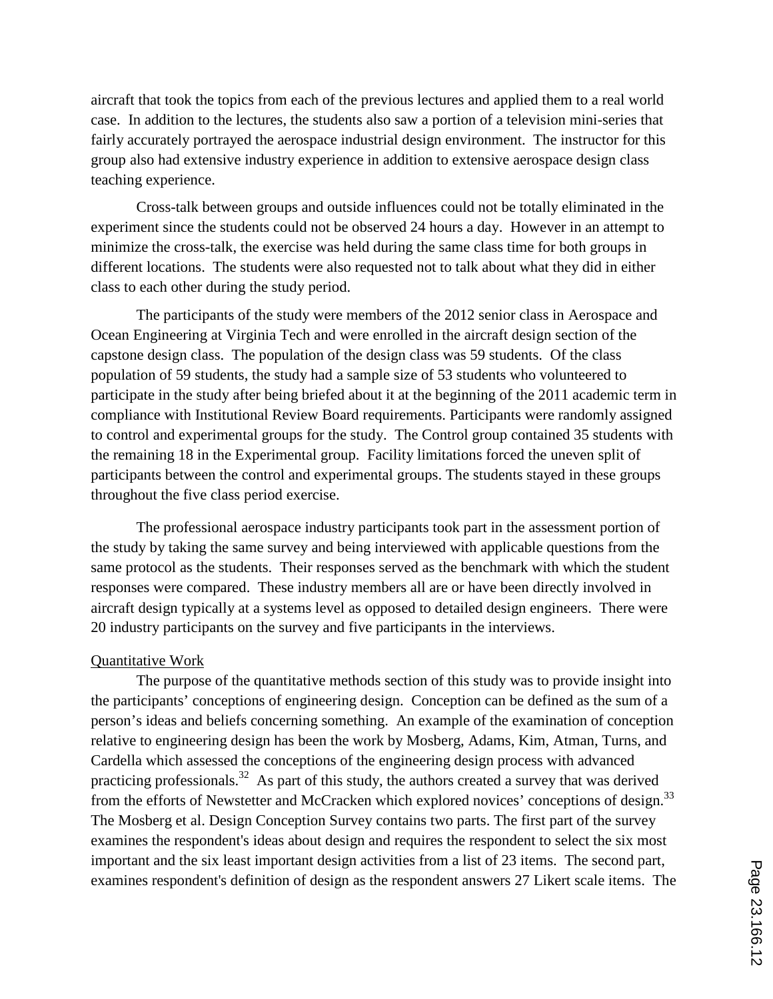aircraft that took the topics from each of the previous lectures and applied them to a real world case. In addition to the lectures, the students also saw a portion of a television mini-series that fairly accurately portrayed the aerospace industrial design environment. The instructor for this group also had extensive industry experience in addition to extensive aerospace design class teaching experience.

Cross-talk between groups and outside influences could not be totally eliminated in the experiment since the students could not be observed 24 hours a day. However in an attempt to minimize the cross-talk, the exercise was held during the same class time for both groups in different locations. The students were also requested not to talk about what they did in either class to each other during the study period.

The participants of the study were members of the 2012 senior class in Aerospace and Ocean Engineering at Virginia Tech and were enrolled in the aircraft design section of the capstone design class. The population of the design class was 59 students. Of the class population of 59 students, the study had a sample size of 53 students who volunteered to participate in the study after being briefed about it at the beginning of the 2011 academic term in compliance with Institutional Review Board requirements. Participants were randomly assigned to control and experimental groups for the study. The Control group contained 35 students with the remaining 18 in the Experimental group. Facility limitations forced the uneven split of participants between the control and experimental groups. The students stayed in these groups throughout the five class period exercise.

The professional aerospace industry participants took part in the assessment portion of the study by taking the same survey and being interviewed with applicable questions from the same protocol as the students. Their responses served as the benchmark with which the student responses were compared. These industry members all are or have been directly involved in aircraft design typically at a systems level as opposed to detailed design engineers. There were 20 industry participants on the survey and five participants in the interviews.

### Quantitative Work

The purpose of the quantitative methods section of this study was to provide insight into the participants' conceptions of engineering design. Conception can be defined as the sum of a person's ideas and beliefs concerning something. An example of the examination of conception relative to engineering design has been the work by Mosberg, Adams, Kim, Atman, Turns, and Cardella which assessed the conceptions of the engineering design process with advanced practicing professionals.<sup>32</sup> As part of this study, the authors created a survey that was derived from the efforts of Newstetter and McCracken which explored novices' conceptions of design.<sup>33</sup> The Mosberg et al. Design Conception Survey contains two parts. The first part of the survey examines the respondent's ideas about design and requires the respondent to select the six most important and the six least important design activities from a list of 23 items. The second part, examines respondent's definition of design as the respondent answers 27 Likert scale items. The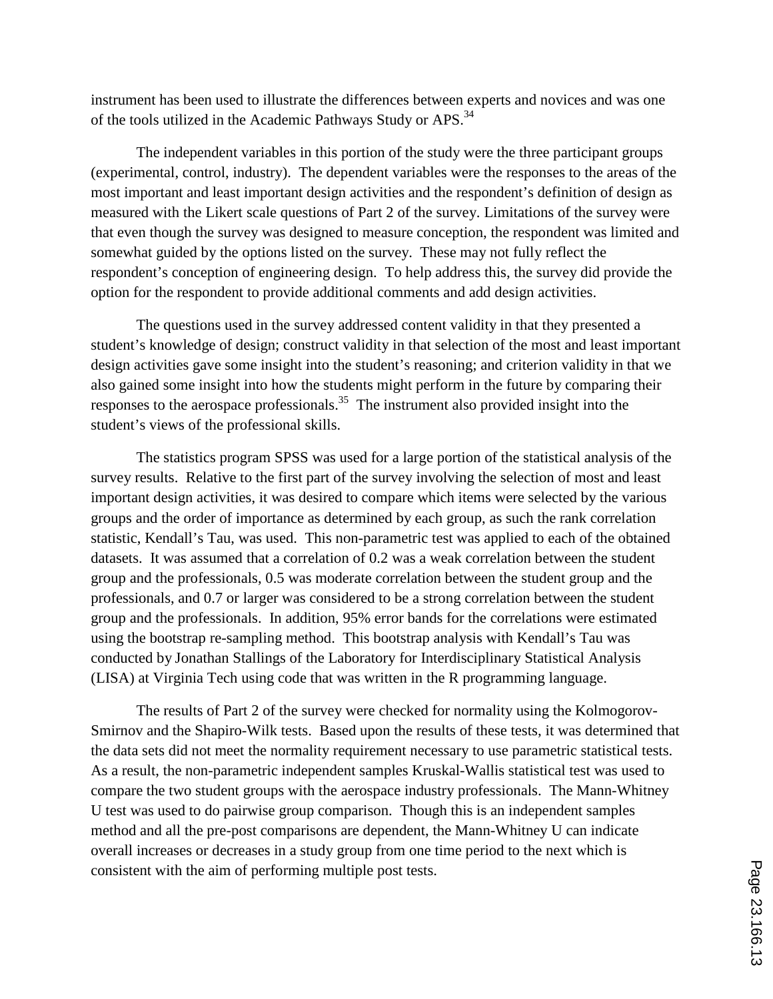instrument has been used to illustrate the differences between experts and novices and was one of the tools utilized in the Academic Pathways Study or APS.<sup>34</sup>

The independent variables in this portion of the study were the three participant groups (experimental, control, industry). The dependent variables were the responses to the areas of the most important and least important design activities and the respondent's definition of design as measured with the Likert scale questions of Part 2 of the survey. Limitations of the survey were that even though the survey was designed to measure conception, the respondent was limited and somewhat guided by the options listed on the survey. These may not fully reflect the respondent's conception of engineering design. To help address this, the survey did provide the option for the respondent to provide additional comments and add design activities.

The questions used in the survey addressed content validity in that they presented a student's knowledge of design; construct validity in that selection of the most and least important design activities gave some insight into the student's reasoning; and criterion validity in that we also gained some insight into how the students might perform in the future by comparing their responses to the aerospace professionals.<sup>35</sup> The instrument also provided insight into the student's views of the professional skills.

The statistics program SPSS was used for a large portion of the statistical analysis of the survey results. Relative to the first part of the survey involving the selection of most and least important design activities, it was desired to compare which items were selected by the various groups and the order of importance as determined by each group, as such the rank correlation statistic, Kendall's Tau, was used. This non-parametric test was applied to each of the obtained datasets. It was assumed that a correlation of 0.2 was a weak correlation between the student group and the professionals, 0.5 was moderate correlation between the student group and the professionals, and 0.7 or larger was considered to be a strong correlation between the student group and the professionals. In addition, 95% error bands for the correlations were estimated using the bootstrap re-sampling method. This bootstrap analysis with Kendall's Tau was conducted by Jonathan Stallings of the Laboratory for Interdisciplinary Statistical Analysis (LISA) at Virginia Tech using code that was written in the R programming language.

The results of Part 2 of the survey were checked for normality using the Kolmogorov-Smirnov and the Shapiro-Wilk tests. Based upon the results of these tests, it was determined that the data sets did not meet the normality requirement necessary to use parametric statistical tests. As a result, the non-parametric independent samples Kruskal-Wallis statistical test was used to compare the two student groups with the aerospace industry professionals. The Mann-Whitney U test was used to do pairwise group comparison. Though this is an independent samples method and all the pre-post comparisons are dependent, the Mann-Whitney U can indicate overall increases or decreases in a study group from one time period to the next which is consistent with the aim of performing multiple post tests.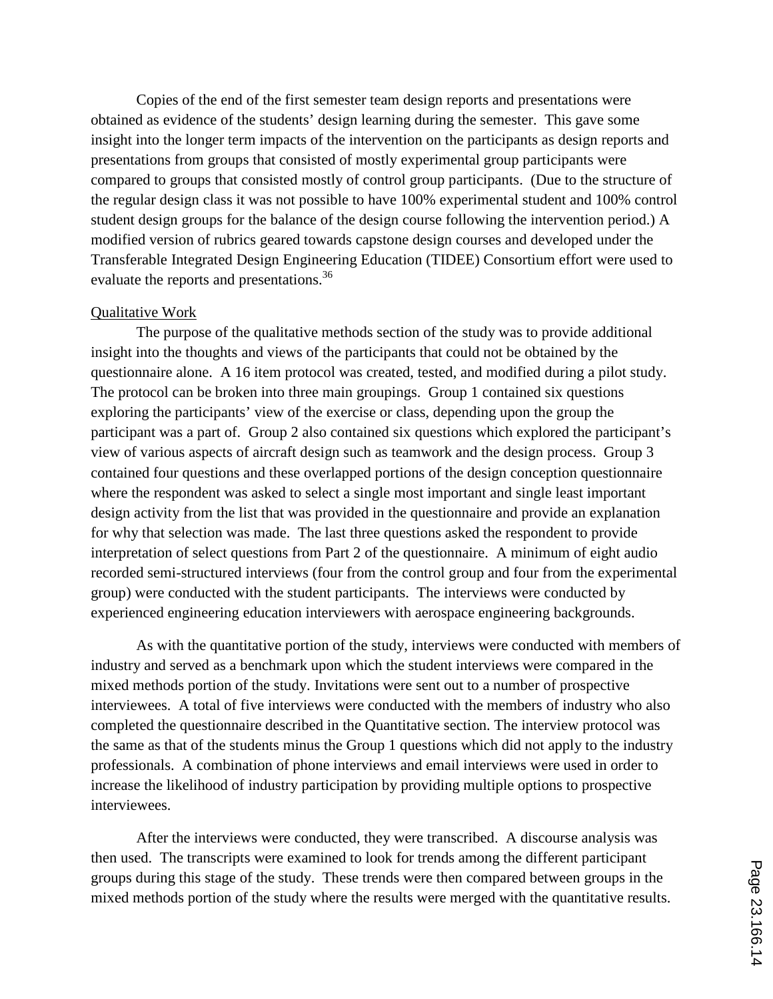Copies of the end of the first semester team design reports and presentations were obtained as evidence of the students' design learning during the semester. This gave some insight into the longer term impacts of the intervention on the participants as design reports and presentations from groups that consisted of mostly experimental group participants were compared to groups that consisted mostly of control group participants. (Due to the structure of the regular design class it was not possible to have 100% experimental student and 100% control student design groups for the balance of the design course following the intervention period.) A modified version of rubrics geared towards capstone design courses and developed under the Transferable Integrated Design Engineering Education (TIDEE) Consortium effort were used to evaluate the reports and presentations.<sup>36</sup>

#### Qualitative Work

The purpose of the qualitative methods section of the study was to provide additional insight into the thoughts and views of the participants that could not be obtained by the questionnaire alone. A 16 item protocol was created, tested, and modified during a pilot study. The protocol can be broken into three main groupings. Group 1 contained six questions exploring the participants' view of the exercise or class, depending upon the group the participant was a part of. Group 2 also contained six questions which explored the participant's view of various aspects of aircraft design such as teamwork and the design process. Group 3 contained four questions and these overlapped portions of the design conception questionnaire where the respondent was asked to select a single most important and single least important design activity from the list that was provided in the questionnaire and provide an explanation for why that selection was made. The last three questions asked the respondent to provide interpretation of select questions from Part 2 of the questionnaire. A minimum of eight audio recorded semi-structured interviews (four from the control group and four from the experimental group) were conducted with the student participants. The interviews were conducted by experienced engineering education interviewers with aerospace engineering backgrounds.

As with the quantitative portion of the study, interviews were conducted with members of industry and served as a benchmark upon which the student interviews were compared in the mixed methods portion of the study. Invitations were sent out to a number of prospective interviewees. A total of five interviews were conducted with the members of industry who also completed the questionnaire described in the Quantitative section. The interview protocol was the same as that of the students minus the Group 1 questions which did not apply to the industry professionals. A combination of phone interviews and email interviews were used in order to increase the likelihood of industry participation by providing multiple options to prospective interviewees.

After the interviews were conducted, they were transcribed. A discourse analysis was then used. The transcripts were examined to look for trends among the different participant groups during this stage of the study. These trends were then compared between groups in the mixed methods portion of the study where the results were merged with the quantitative results.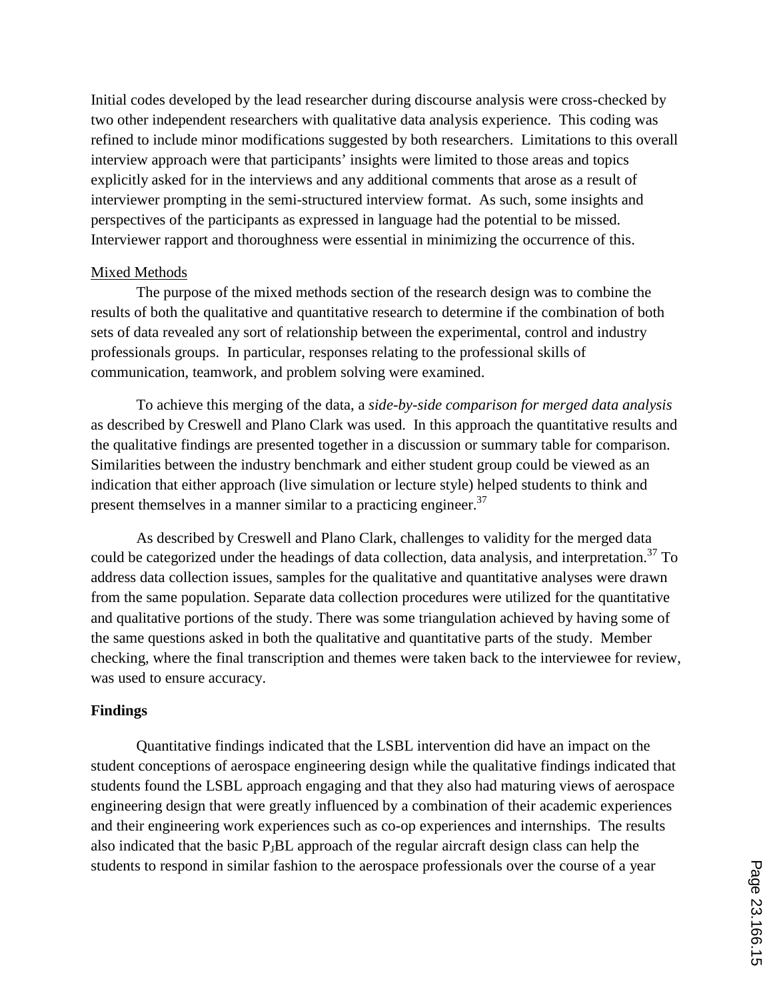Initial codes developed by the lead researcher during discourse analysis were cross-checked by two other independent researchers with qualitative data analysis experience. This coding was refined to include minor modifications suggested by both researchers. Limitations to this overall interview approach were that participants' insights were limited to those areas and topics explicitly asked for in the interviews and any additional comments that arose as a result of interviewer prompting in the semi-structured interview format. As such, some insights and perspectives of the participants as expressed in language had the potential to be missed. Interviewer rapport and thoroughness were essential in minimizing the occurrence of this.

#### Mixed Methods

The purpose of the mixed methods section of the research design was to combine the results of both the qualitative and quantitative research to determine if the combination of both sets of data revealed any sort of relationship between the experimental, control and industry professionals groups. In particular, responses relating to the professional skills of communication, teamwork, and problem solving were examined.

To achieve this merging of the data, a *side-by-side comparison for merged data analysis* as described by Creswell and Plano Clark was used. In this approach the quantitative results and the qualitative findings are presented together in a discussion or summary table for comparison. Similarities between the industry benchmark and either student group could be viewed as an indication that either approach (live simulation or lecture style) helped students to think and present themselves in a manner similar to a practicing engineer. $37$ 

As described by Creswell and Plano Clark, challenges to validity for the merged data could be categorized under the headings of data collection, data analysis, and interpretation.<sup>37</sup> To address data collection issues, samples for the qualitative and quantitative analyses were drawn from the same population. Separate data collection procedures were utilized for the quantitative and qualitative portions of the study. There was some triangulation achieved by having some of the same questions asked in both the qualitative and quantitative parts of the study. Member checking, where the final transcription and themes were taken back to the interviewee for review, was used to ensure accuracy.

### **Findings**

Quantitative findings indicated that the LSBL intervention did have an impact on the student conceptions of aerospace engineering design while the qualitative findings indicated that students found the LSBL approach engaging and that they also had maturing views of aerospace engineering design that were greatly influenced by a combination of their academic experiences and their engineering work experiences such as co-op experiences and internships. The results also indicated that the basic  $P_JBL$  approach of the regular aircraft design class can help the students to respond in similar fashion to the aerospace professionals over the course of a year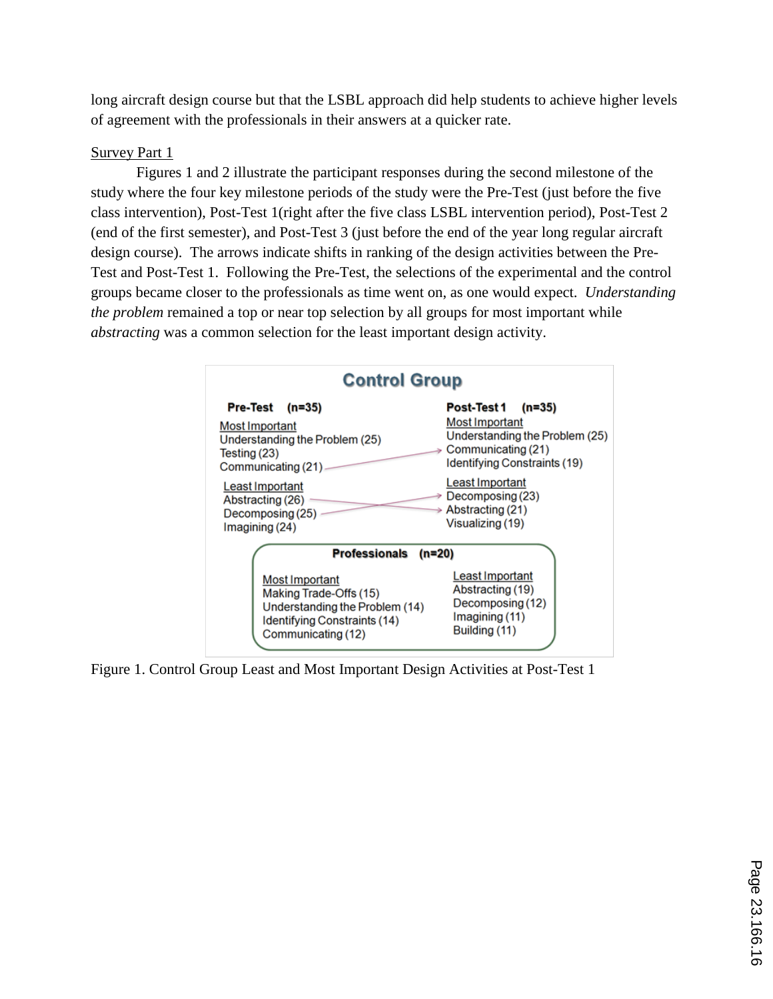long aircraft design course but that the LSBL approach did help students to achieve higher levels of agreement with the professionals in their answers at a quicker rate.

### Survey Part 1

Figures 1 and 2 illustrate the participant responses during the second milestone of the study where the four key milestone periods of the study were the Pre-Test (just before the five class intervention), Post-Test 1(right after the five class LSBL intervention period), Post-Test 2 (end of the first semester), and Post-Test 3 (just before the end of the year long regular aircraft design course). The arrows indicate shifts in ranking of the design activities between the Pre-Test and Post-Test 1. Following the Pre-Test, the selections of the experimental and the control groups became closer to the professionals as time went on, as one would expect. *Understanding the problem* remained a top or near top selection by all groups for most important while *abstracting* was a common selection for the least important design activity.

| <b>Control Group</b>             |                                |
|----------------------------------|--------------------------------|
| <b>Pre-Test</b>                  | Post-Test 1                    |
| $(n=35)$                         | $(n=35)$                       |
| <b>Most Important</b>            | <b>Most Important</b>          |
| Understanding the Problem (25)   | Understanding the Problem (25) |
| Testing (23)                     | Communicating (21)             |
| Communicating (21)               | Identifying Constraints (19)   |
| Least Important                  | Least Important                |
| Abstracting (26)                 | Decomposing (23)               |
| Decomposing (25)                 | Abstracting (21)               |
| Imagining (24)                   | Visualizing (19)               |
| <b>Professionals</b><br>$(n=20)$ |                                |
| Most Important                   | Least Important                |
| Making Trade-Offs (15)           | Abstracting (19)               |
| Understanding the Problem (14)   | Decomposing (12)               |
| Identifying Constraints (14)     | Imagining (11)                 |
| Communicating (12)               | Building (11)                  |

Figure 1. Control Group Least and Most Important Design Activities at Post-Test 1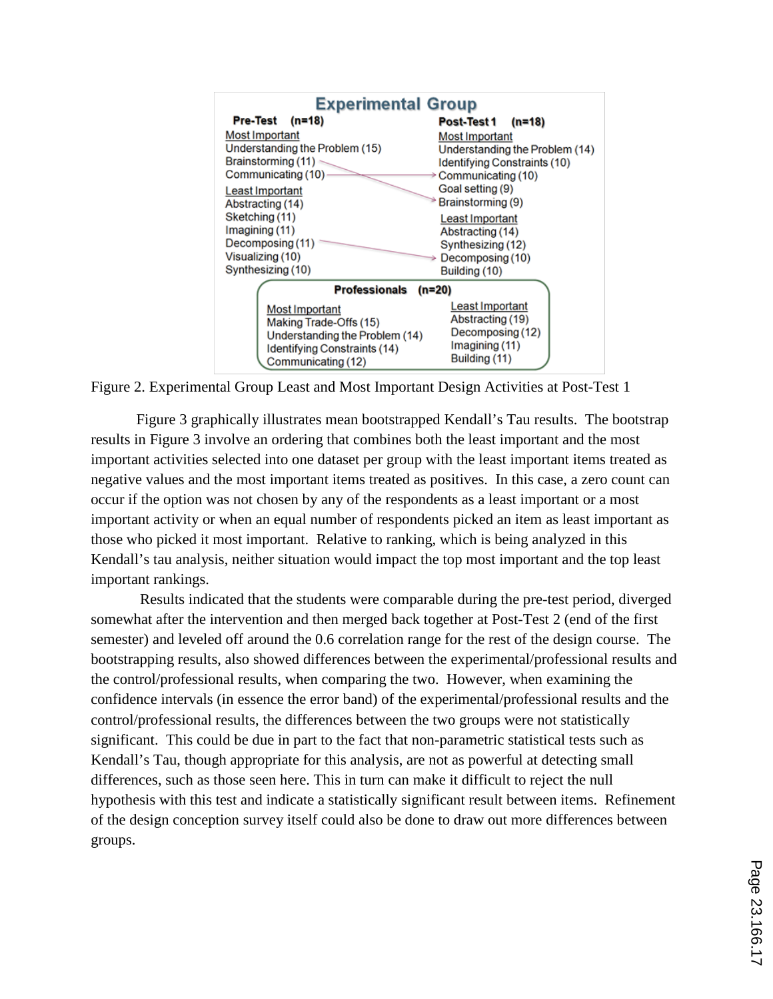

Figure 2. Experimental Group Least and Most Important Design Activities at Post-Test 1

Figure 3 graphically illustrates mean bootstrapped Kendall's Tau results. The bootstrap results in Figure 3 involve an ordering that combines both the least important and the most important activities selected into one dataset per group with the least important items treated as negative values and the most important items treated as positives. In this case, a zero count can occur if the option was not chosen by any of the respondents as a least important or a most important activity or when an equal number of respondents picked an item as least important as those who picked it most important. Relative to ranking, which is being analyzed in this Kendall's tau analysis, neither situation would impact the top most important and the top least important rankings.

 Results indicated that the students were comparable during the pre-test period, diverged somewhat after the intervention and then merged back together at Post-Test 2 (end of the first semester) and leveled off around the 0.6 correlation range for the rest of the design course. The bootstrapping results, also showed differences between the experimental/professional results and the control/professional results, when comparing the two. However, when examining the confidence intervals (in essence the error band) of the experimental/professional results and the control/professional results, the differences between the two groups were not statistically significant. This could be due in part to the fact that non-parametric statistical tests such as Kendall's Tau, though appropriate for this analysis, are not as powerful at detecting small differences, such as those seen here. This in turn can make it difficult to reject the null hypothesis with this test and indicate a statistically significant result between items. Refinement of the design conception survey itself could also be done to draw out more differences between groups.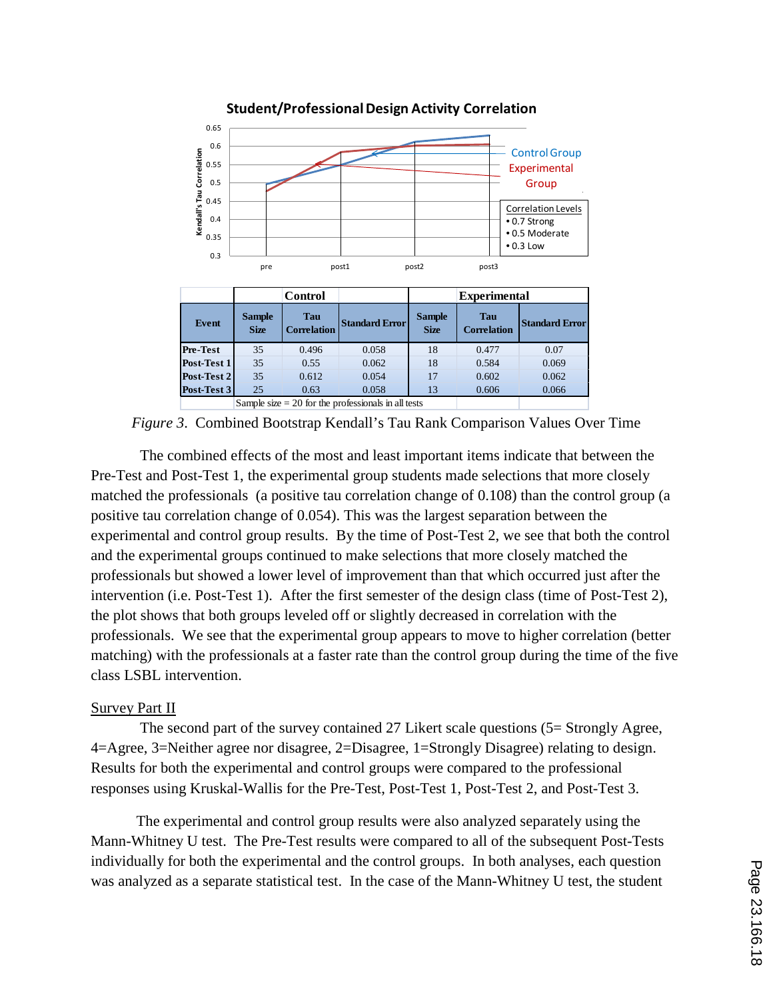

**Student/Professional Design Activity Correlation**

*Figure 3*. Combined Bootstrap Kendall's Tau Rank Comparison Values Over Time

The combined effects of the most and least important items indicate that between the Pre-Test and Post-Test 1, the experimental group students made selections that more closely matched the professionals (a positive tau correlation change of 0.108) than the control group (a positive tau correlation change of 0.054). This was the largest separation between the experimental and control group results. By the time of Post-Test 2, we see that both the control and the experimental groups continued to make selections that more closely matched the professionals but showed a lower level of improvement than that which occurred just after the intervention (i.e. Post-Test 1). After the first semester of the design class (time of Post-Test 2), the plot shows that both groups leveled off or slightly decreased in correlation with the professionals. We see that the experimental group appears to move to higher correlation (better matching) with the professionals at a faster rate than the control group during the time of the five class LSBL intervention.

#### Survey Part II

The second part of the survey contained 27 Likert scale questions (5= Strongly Agree, 4=Agree, 3=Neither agree nor disagree, 2=Disagree, 1=Strongly Disagree) relating to design. Results for both the experimental and control groups were compared to the professional responses using Kruskal-Wallis for the Pre-Test, Post-Test 1, Post-Test 2, and Post-Test 3.

The experimental and control group results were also analyzed separately using the Mann-Whitney U test. The Pre-Test results were compared to all of the subsequent Post-Tests individually for both the experimental and the control groups. In both analyses, each question was analyzed as a separate statistical test. In the case of the Mann-Whitney U test, the student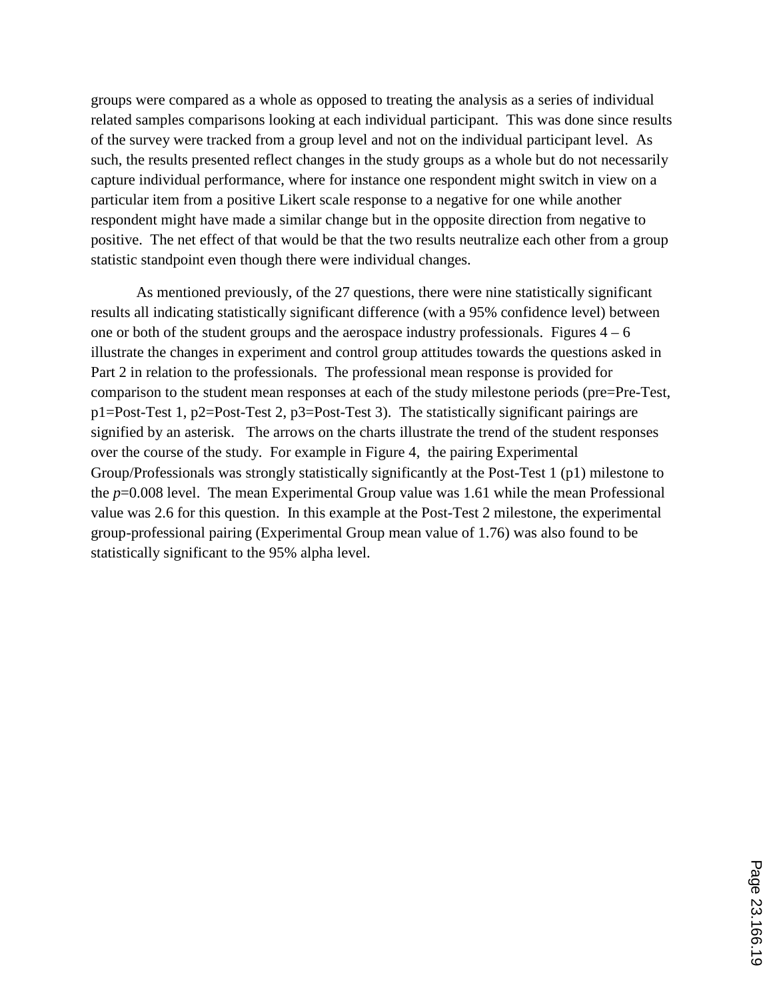groups were compared as a whole as opposed to treating the analysis as a series of individual related samples comparisons looking at each individual participant. This was done since results of the survey were tracked from a group level and not on the individual participant level. As such, the results presented reflect changes in the study groups as a whole but do not necessarily capture individual performance, where for instance one respondent might switch in view on a particular item from a positive Likert scale response to a negative for one while another respondent might have made a similar change but in the opposite direction from negative to positive. The net effect of that would be that the two results neutralize each other from a group statistic standpoint even though there were individual changes.

As mentioned previously, of the 27 questions, there were nine statistically significant results all indicating statistically significant difference (with a 95% confidence level) between one or both of the student groups and the aerospace industry professionals. Figures  $4 - 6$ illustrate the changes in experiment and control group attitudes towards the questions asked in Part 2 in relation to the professionals. The professional mean response is provided for comparison to the student mean responses at each of the study milestone periods (pre=Pre-Test, p1=Post-Test 1, p2=Post-Test 2, p3=Post-Test 3). The statistically significant pairings are signified by an asterisk. The arrows on the charts illustrate the trend of the student responses over the course of the study. For example in Figure 4, the pairing Experimental Group/Professionals was strongly statistically significantly at the Post-Test 1 (p1) milestone to the *p*=0.008 level. The mean Experimental Group value was 1.61 while the mean Professional value was 2.6 for this question. In this example at the Post-Test 2 milestone, the experimental group-professional pairing (Experimental Group mean value of 1.76) was also found to be statistically significant to the 95% alpha level.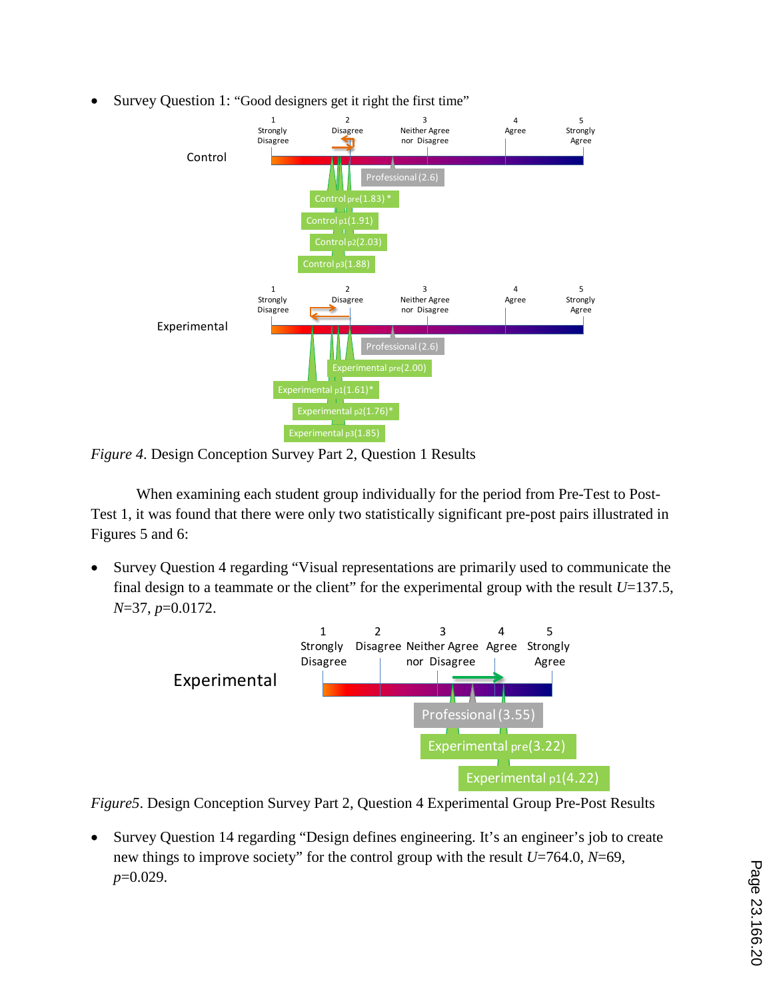• Survey Question 1: "Good designers get it right the first time"



*Figure 4*. Design Conception Survey Part 2, Question 1 Results

When examining each student group individually for the period from Pre-Test to Post-Test 1, it was found that there were only two statistically significant pre-post pairs illustrated in Figures 5 and 6:

• Survey Question 4 regarding "Visual representations are primarily used to communicate the final design to a teammate or the client" for the experimental group with the result  $U=137.5$ , *N*=37, *p*=0.0172.



*Figure5*. Design Conception Survey Part 2, Question 4 Experimental Group Pre-Post Results

• Survey Question 14 regarding "Design defines engineering. It's an engineer's job to create new things to improve society" for the control group with the result *U*=764.0, *N*=69, *p*=0.029.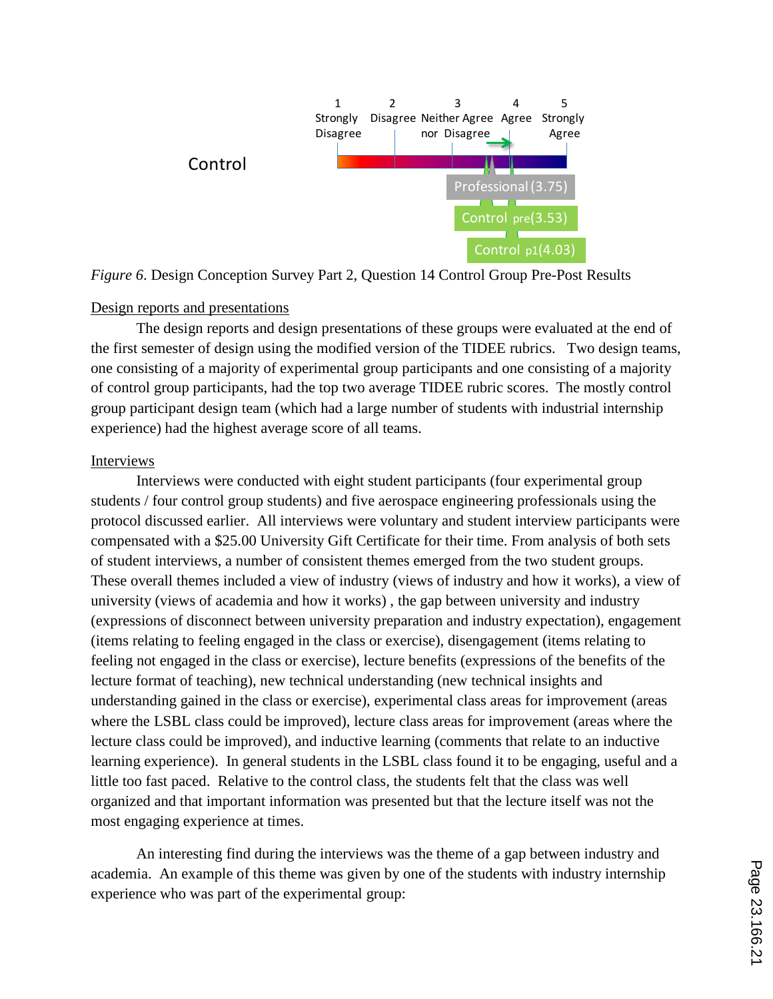

*Figure 6*. Design Conception Survey Part 2, Question 14 Control Group Pre-Post Results

### Design reports and presentations

The design reports and design presentations of these groups were evaluated at the end of the first semester of design using the modified version of the TIDEE rubrics. Two design teams, one consisting of a majority of experimental group participants and one consisting of a majority of control group participants, had the top two average TIDEE rubric scores. The mostly control group participant design team (which had a large number of students with industrial internship experience) had the highest average score of all teams.

#### Interviews

Interviews were conducted with eight student participants (four experimental group students / four control group students) and five aerospace engineering professionals using the protocol discussed earlier. All interviews were voluntary and student interview participants were compensated with a \$25.00 University Gift Certificate for their time. From analysis of both sets of student interviews, a number of consistent themes emerged from the two student groups. These overall themes included a view of industry (views of industry and how it works), a view of university (views of academia and how it works) , the gap between university and industry (expressions of disconnect between university preparation and industry expectation), engagement (items relating to feeling engaged in the class or exercise), disengagement (items relating to feeling not engaged in the class or exercise), lecture benefits (expressions of the benefits of the lecture format of teaching), new technical understanding (new technical insights and understanding gained in the class or exercise), experimental class areas for improvement (areas where the LSBL class could be improved), lecture class areas for improvement (areas where the lecture class could be improved), and inductive learning (comments that relate to an inductive learning experience). In general students in the LSBL class found it to be engaging, useful and a little too fast paced. Relative to the control class, the students felt that the class was well organized and that important information was presented but that the lecture itself was not the most engaging experience at times.

An interesting find during the interviews was the theme of a gap between industry and academia. An example of this theme was given by one of the students with industry internship experience who was part of the experimental group: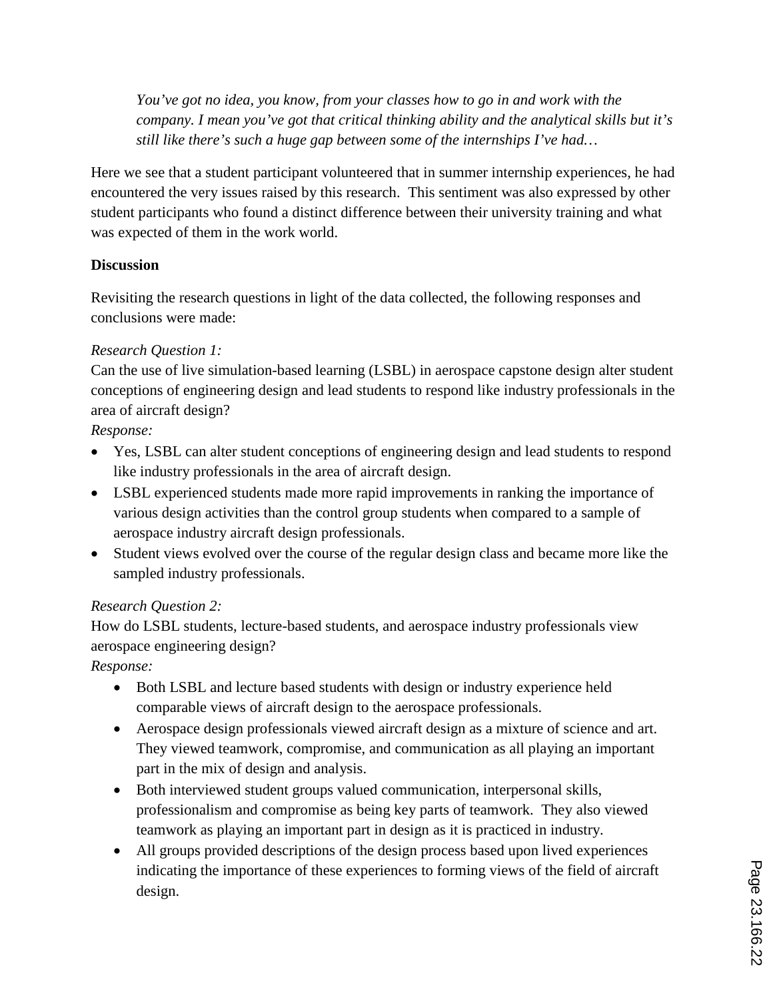*You've got no idea, you know, from your classes how to go in and work with the company. I mean you've got that critical thinking ability and the analytical skills but it's still like there's such a huge gap between some of the internships I've had…*

Here we see that a student participant volunteered that in summer internship experiences, he had encountered the very issues raised by this research. This sentiment was also expressed by other student participants who found a distinct difference between their university training and what was expected of them in the work world.

# **Discussion**

Revisiting the research questions in light of the data collected, the following responses and conclusions were made:

# *Research Question 1:*

Can the use of live simulation-based learning (LSBL) in aerospace capstone design alter student conceptions of engineering design and lead students to respond like industry professionals in the area of aircraft design?

# *Response:*

- Yes, LSBL can alter student conceptions of engineering design and lead students to respond like industry professionals in the area of aircraft design.
- LSBL experienced students made more rapid improvements in ranking the importance of various design activities than the control group students when compared to a sample of aerospace industry aircraft design professionals.
- Student views evolved over the course of the regular design class and became more like the sampled industry professionals.

# *Research Question 2:*

How do LSBL students, lecture-based students, and aerospace industry professionals view aerospace engineering design?

*Response:*

- Both LSBL and lecture based students with design or industry experience held comparable views of aircraft design to the aerospace professionals.
- Aerospace design professionals viewed aircraft design as a mixture of science and art. They viewed teamwork, compromise, and communication as all playing an important part in the mix of design and analysis.
- Both interviewed student groups valued communication, interpersonal skills, professionalism and compromise as being key parts of teamwork. They also viewed teamwork as playing an important part in design as it is practiced in industry.
- All groups provided descriptions of the design process based upon lived experiences indicating the importance of these experiences to forming views of the field of aircraft design.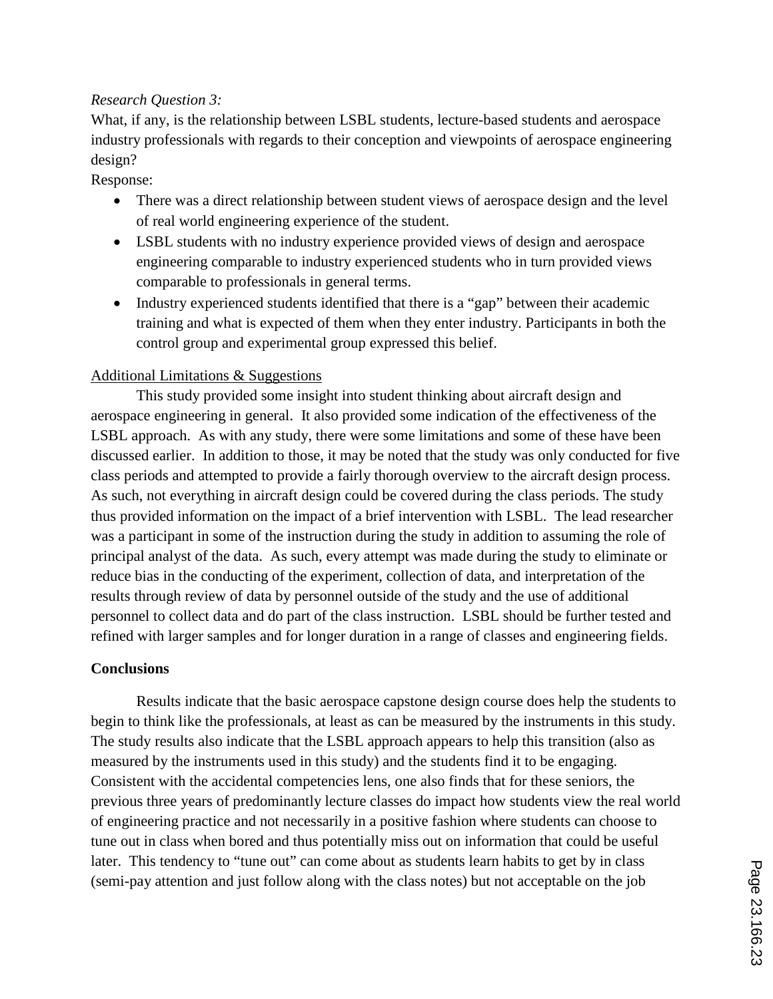### *Research Question 3:*

What, if any, is the relationship between LSBL students, lecture-based students and aerospace industry professionals with regards to their conception and viewpoints of aerospace engineering design?

Response:

- There was a direct relationship between student views of aerospace design and the level of real world engineering experience of the student.
- LSBL students with no industry experience provided views of design and aerospace engineering comparable to industry experienced students who in turn provided views comparable to professionals in general terms.
- Industry experienced students identified that there is a "gap" between their academic training and what is expected of them when they enter industry. Participants in both the control group and experimental group expressed this belief.

### Additional Limitations & Suggestions

This study provided some insight into student thinking about aircraft design and aerospace engineering in general. It also provided some indication of the effectiveness of the LSBL approach. As with any study, there were some limitations and some of these have been discussed earlier. In addition to those, it may be noted that the study was only conducted for five class periods and attempted to provide a fairly thorough overview to the aircraft design process. As such, not everything in aircraft design could be covered during the class periods. The study thus provided information on the impact of a brief intervention with LSBL. The lead researcher was a participant in some of the instruction during the study in addition to assuming the role of principal analyst of the data. As such, every attempt was made during the study to eliminate or reduce bias in the conducting of the experiment, collection of data, and interpretation of the results through review of data by personnel outside of the study and the use of additional personnel to collect data and do part of the class instruction. LSBL should be further tested and refined with larger samples and for longer duration in a range of classes and engineering fields.

### **Conclusions**

Results indicate that the basic aerospace capstone design course does help the students to begin to think like the professionals, at least as can be measured by the instruments in this study. The study results also indicate that the LSBL approach appears to help this transition (also as measured by the instruments used in this study) and the students find it to be engaging. Consistent with the accidental competencies lens, one also finds that for these seniors, the previous three years of predominantly lecture classes do impact how students view the real world of engineering practice and not necessarily in a positive fashion where students can choose to tune out in class when bored and thus potentially miss out on information that could be useful later. This tendency to "tune out" can come about as students learn habits to get by in class (semi-pay attention and just follow along with the class notes) but not acceptable on the job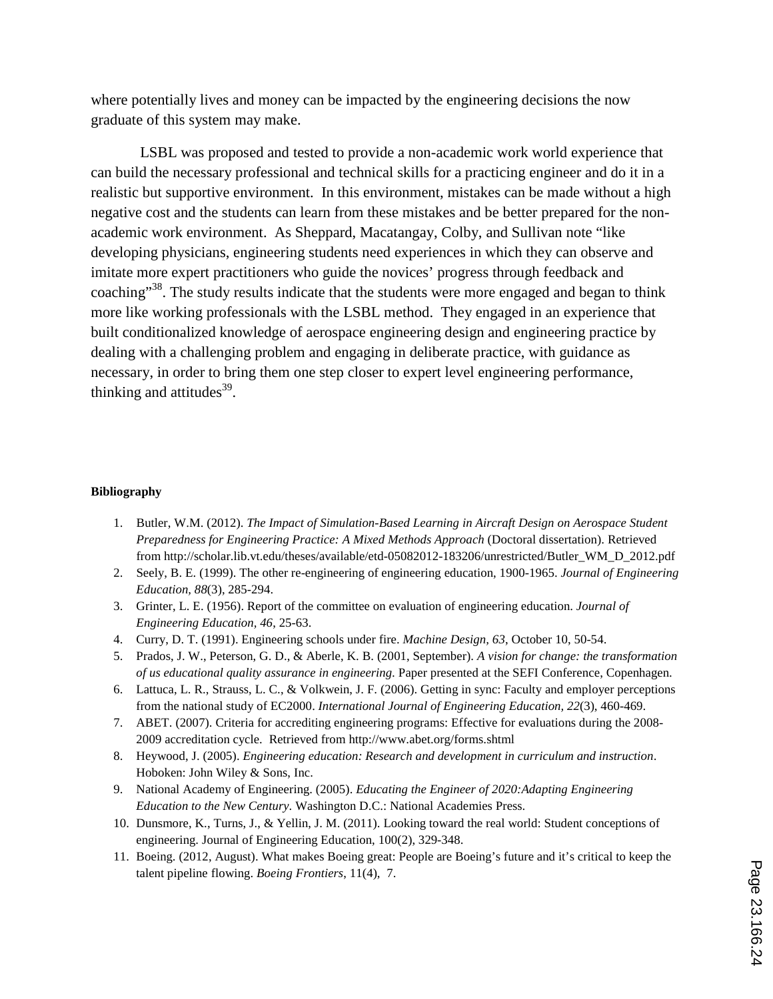where potentially lives and money can be impacted by the engineering decisions the now graduate of this system may make.

LSBL was proposed and tested to provide a non-academic work world experience that can build the necessary professional and technical skills for a practicing engineer and do it in a realistic but supportive environment. In this environment, mistakes can be made without a high negative cost and the students can learn from these mistakes and be better prepared for the nonacademic work environment. As Sheppard, Macatangay, Colby, and Sullivan note "like developing physicians, engineering students need experiences in which they can observe and imitate more expert practitioners who guide the novices' progress through feedback and coaching"<sup>38</sup>. The study results indicate that the students were more engaged and began to think more like working professionals with the LSBL method. They engaged in an experience that built conditionalized knowledge of aerospace engineering design and engineering practice by dealing with a challenging problem and engaging in deliberate practice, with guidance as necessary, in order to bring them one step closer to expert level engineering performance, thinking and attitudes $^{39}$ .

#### **Bibliography**

- 1. Butler, W.M. (2012). *The Impact of Simulation-Based Learning in Aircraft Design on Aerospace Student Preparedness for Engineering Practice: A Mixed Methods Approach* (Doctoral dissertation). Retrieved from http://scholar.lib.vt.edu/theses/available/etd-05082012-183206/unrestricted/Butler\_WM\_D\_2012.pdf
- 2. Seely, B. E. (1999). The other re-engineering of engineering education, 1900-1965. *Journal of Engineering Education, 88*(3), 285-294.
- 3. Grinter, L. E. (1956). Report of the committee on evaluation of engineering education. *Journal of Engineering Education, 46*, 25-63.
- 4. Curry, D. T. (1991). Engineering schools under fire. *Machine Design, 63*, October 10, 50-54.
- 5. Prados, J. W., Peterson, G. D., & Aberle, K. B. (2001, September). *A vision for change: the transformation of us educational quality assurance in engineering.* Paper presented at the SEFI Conference, Copenhagen.
- 6. Lattuca, L. R., Strauss, L. C., & Volkwein, J. F. (2006). Getting in sync: Faculty and employer perceptions from the national study of EC2000. *International Journal of Engineering Education, 22*(3), 460-469.
- 7. ABET. (2007). Criteria for accrediting engineering programs: Effective for evaluations during the 2008- 2009 accreditation cycle. Retrieved from http://www.abet.org/forms.shtml
- 8. Heywood, J. (2005). *Engineering education: Research and development in curriculum and instruction*. Hoboken: John Wiley & Sons, Inc.
- 9. National Academy of Engineering. (2005). *Educating the Engineer of 2020:Adapting Engineering Education to the New Century*. Washington D.C.: National Academies Press.
- 10. Dunsmore, K., Turns, J., & Yellin, J. M. (2011). Looking toward the real world: Student conceptions of engineering. Journal of Engineering Education, 100(2), 329-348.
- 11. Boeing. (2012, August). What makes Boeing great: People are Boeing's future and it's critical to keep the talent pipeline flowing. *Boeing Frontiers*, 11(4), 7.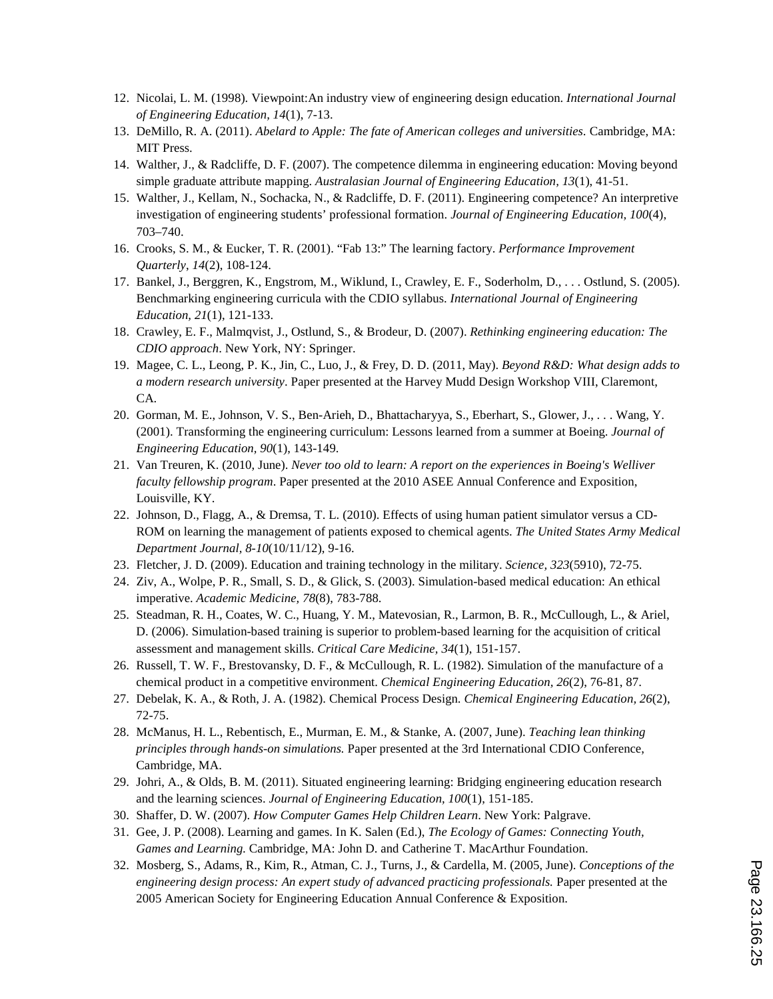- 12. Nicolai, L. M. (1998). Viewpoint:An industry view of engineering design education. *International Journal of Engineering Education, 14*(1), 7-13.
- 13. DeMillo, R. A. (2011). *Abelard to Apple: The fate of American colleges and universities*. Cambridge, MA: MIT Press.
- 14. Walther, J., & Radcliffe, D. F. (2007). The competence dilemma in engineering education: Moving beyond simple graduate attribute mapping. *Australasian Journal of Engineering Education, 13*(1), 41-51.
- 15. Walther, J., Kellam, N., Sochacka, N., & Radcliffe, D. F. (2011). Engineering competence? An interpretive investigation of engineering students' professional formation. *Journal of Engineering Education, 100*(4), 703–740.
- 16. Crooks, S. M., & Eucker, T. R. (2001). "Fab 13:" The learning factory. *Performance Improvement Quarterly*, *14*(2), 108-124.
- 17. Bankel, J., Berggren, K., Engstrom, M., Wiklund, I., Crawley, E. F., Soderholm, D., . . . Ostlund, S. (2005). Benchmarking engineering curricula with the CDIO syllabus. *International Journal of Engineering Education, 21*(1), 121-133.
- 18. Crawley, E. F., Malmqvist, J., Ostlund, S., & Brodeur, D. (2007). *Rethinking engineering education: The CDIO approach*. New York, NY: Springer.
- 19. Magee, C. L., Leong, P. K., Jin, C., Luo, J., & Frey, D. D. (2011, May). *Beyond R&D: What design adds to a modern research university*. Paper presented at the Harvey Mudd Design Workshop VIII, Claremont, CA.
- 20. Gorman, M. E., Johnson, V. S., Ben-Arieh, D., Bhattacharyya, S., Eberhart, S., Glower, J., . . . Wang, Y. (2001). Transforming the engineering curriculum: Lessons learned from a summer at Boeing. *Journal of Engineering Education, 90*(1), 143-149.
- 21. Van Treuren, K. (2010, June). *Never too old to learn: A report on the experiences in Boeing's Welliver faculty fellowship program*. Paper presented at the 2010 ASEE Annual Conference and Exposition, Louisville, KY.
- 22. Johnson, D., Flagg, A., & Dremsa, T. L. (2010). Effects of using human patient simulator versus a CD-ROM on learning the management of patients exposed to chemical agents. *The United States Army Medical Department Journal, 8-10*(10/11/12), 9-16.
- 23. Fletcher, J. D. (2009). Education and training technology in the military. *Science, 323*(5910), 72-75.
- 24. Ziv, A., Wolpe, P. R., Small, S. D., & Glick, S. (2003). Simulation-based medical education: An ethical imperative. *Academic Medicine, 78*(8), 783-788.
- 25. Steadman, R. H., Coates, W. C., Huang, Y. M., Matevosian, R., Larmon, B. R., McCullough, L., & Ariel, D. (2006). Simulation-based training is superior to problem-based learning for the acquisition of critical assessment and management skills. *Critical Care Medicine, 34*(1), 151-157.
- 26. Russell, T. W. F., Brestovansky, D. F., & McCullough, R. L. (1982). Simulation of the manufacture of a chemical product in a competitive environment. *Chemical Engineering Education, 26*(2), 76-81, 87.
- 27. Debelak, K. A., & Roth, J. A. (1982). Chemical Process Design. *Chemical Engineering Education, 26*(2), 72-75.
- 28. McManus, H. L., Rebentisch, E., Murman, E. M., & Stanke, A. (2007, June). *Teaching lean thinking principles through hands-on simulations.* Paper presented at the 3rd International CDIO Conference, Cambridge, MA.
- 29. Johri, A., & Olds, B. M. (2011). Situated engineering learning: Bridging engineering education research and the learning sciences. *Journal of Engineering Education, 100*(1), 151-185.
- 30. Shaffer, D. W. (2007). *How Computer Games Help Children Learn*. New York: Palgrave.
- 31. Gee, J. P. (2008). Learning and games. In K. Salen (Ed.), *The Ecology of Games: Connecting Youth, Games and Learning.* Cambridge, MA: John D. and Catherine T. MacArthur Foundation.
- 32. Mosberg, S., Adams, R., Kim, R., Atman, C. J., Turns, J., & Cardella, M. (2005, June). *Conceptions of the engineering design process: An expert study of advanced practicing professionals.* Paper presented at the 2005 American Society for Engineering Education Annual Conference & Exposition.